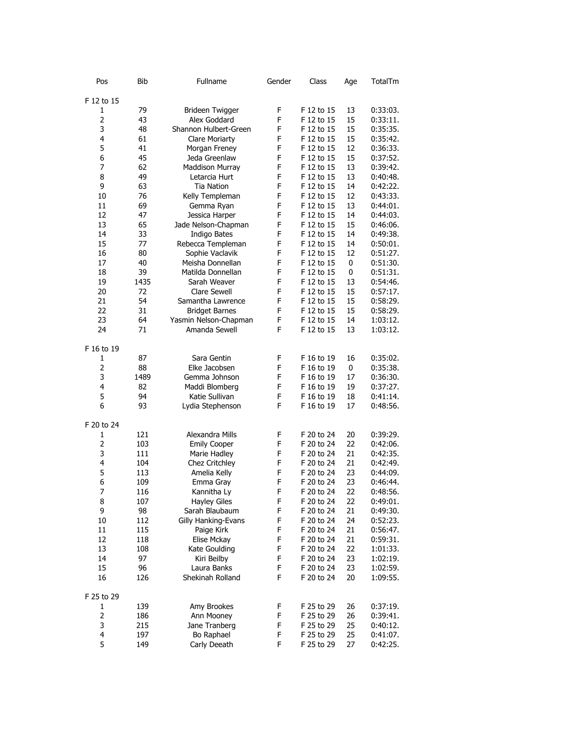| Pos              | <b>Bib</b> | Fullname              | Gender | Class      | Age | TotalTm  |
|------------------|------------|-----------------------|--------|------------|-----|----------|
| F 12 to 15       |            |                       |        |            |     |          |
| $\mathbf{1}$     | 79         | Brideen Twigger       | F      | F 12 to 15 | 13  | 0:33:03. |
| $\overline{2}$   | 43         | Alex Goddard          | F      | F 12 to 15 | 15  | 0:33:11. |
| 3                | 48         | Shannon Hulbert-Green | F      | F 12 to 15 | 15  | 0:35:35. |
| 4                | 61         | <b>Clare Moriarty</b> | F      | F 12 to 15 | 15  | 0:35:42. |
| 5                | 41         | Morgan Freney         | F      | F 12 to 15 | 12  | 0:36:33. |
|                  |            |                       |        |            |     |          |
| 6                | 45         | Jeda Greenlaw         | F      | F 12 to 15 | 15  | 0:37:52. |
| 7                | 62         | Maddison Murray       | F      | F 12 to 15 | 13  | 0:39:42. |
| 8                | 49         | Letarcia Hurt         | F      | F 12 to 15 | 13  | 0:40:48. |
| 9                | 63         | <b>Tia Nation</b>     | F      | F 12 to 15 | 14  | 0:42:22. |
| 10               | 76         | Kelly Templeman       | F      | F 12 to 15 | 12  | 0:43:33. |
| 11               | 69         | Gemma Ryan            | F      | F 12 to 15 | 13  | 0:44:01. |
| 12               | 47         | Jessica Harper        | F      | F 12 to 15 | 14  | 0:44:03. |
| 13               | 65         | Jade Nelson-Chapman   | F      | F 12 to 15 | 15  | 0:46:06. |
| 14               | 33         | Indigo Bates          | F      | F 12 to 15 | 14  | 0:49:38. |
| 15               | 77         | Rebecca Templeman     | F      | F 12 to 15 | 14  | 0:50:01. |
| 16               | 80         | Sophie Vaclavik       | F      | F 12 to 15 | 12  | 0:51:27. |
| 17               | 40         | Meisha Donnellan      | F      | F 12 to 15 | 0   | 0:51:30. |
| 18               | 39         | Matilda Donnellan     | F      | F 12 to 15 | 0   | 0:51:31. |
| 19               | 1435       | Sarah Weaver          | F      | F 12 to 15 | 13  | 0:54:46. |
| 20               | 72         | Clare Sewell          | F      | F 12 to 15 | 15  | 0:57:17. |
| 21               | 54         | Samantha Lawrence     | F      | F 12 to 15 | 15  | 0:58:29. |
| 22               | 31         | <b>Bridget Barnes</b> | F      | F 12 to 15 | 15  | 0:58:29. |
| 23               | 64         | Yasmin Nelson-Chapman | F      | F 12 to 15 | 14  | 1:03:12. |
| 24               | 71         | Amanda Sewell         | F      | F 12 to 15 | 13  | 1:03:12. |
|                  |            |                       |        |            |     |          |
| F 16 to 19       |            |                       |        |            |     |          |
| 1                | 87         | Sara Gentin           | F      | F 16 to 19 | 16  | 0:35:02. |
| 2                | 88         | Elke Jacobsen         | F      | F 16 to 19 | 0   | 0:35:38. |
| 3                | 1489       | Gemma Johnson         | F      | F 16 to 19 | 17  | 0:36:30. |
| 4                | 82         | Maddi Blomberg        | F      | F 16 to 19 | 19  | 0:37:27. |
| 5                | 94         | Katie Sullivan        | F      | F 16 to 19 | 18  | 0:41:14. |
| 6                | 93         | Lydia Stephenson      | F      | F 16 to 19 | 17  | 0:48:56. |
|                  |            |                       |        |            |     |          |
| F 20 to 24       |            |                       |        |            |     |          |
| $\mathbf{1}$     | 121        | Alexandra Mills       | F      | F 20 to 24 | 20  | 0:39:29. |
| $\overline{2}$   | 103        | <b>Emily Cooper</b>   | F      | F 20 to 24 | 22  | 0:42:06. |
| 3                | 111        | Marie Hadley          | F      | F 20 to 24 | 21  | 0:42:35. |
| 4                | 104        | Chez Critchley        | F      | F 20 to 24 | 21  | 0:42:49. |
| 5                | 113        | Amelia Kelly          | F      | F 20 to 24 | 23  | 0:44:09. |
| 6                | 109        | Emma Gray             | F      | F 20 to 24 | 23  | 0:46:44. |
| $\boldsymbol{7}$ | 116        | Kannitha Ly           | F      | F 20 to 24 | 22  | 0:48:56. |
| 8                | 107        | <b>Hayley Giles</b>   | F      | F 20 to 24 | 22  | 0:49:01. |
| 9                |            |                       |        |            |     |          |
|                  | 98         | Sarah Blaubaum        | F      | F 20 to 24 | 21  | 0:49:30. |
| 10               | 112        | Gilly Hanking-Evans   | F      | F 20 to 24 | 24  | 0:52:23. |
| 11               | 115        | Paige Kirk            | F      | F 20 to 24 | 21  | 0:56:47. |
| 12               | 118        | Elise Mckay           | F      | F 20 to 24 | 21  | 0:59:31. |
| 13               | 108        | Kate Goulding         | F      | F 20 to 24 | 22  | 1:01:33. |
| 14               | 97         | Kiri Beilby           | F      | F 20 to 24 | 23  | 1:02:19. |
| 15               | 96         | Laura Banks           | F      | F 20 to 24 | 23  | 1:02:59. |
| 16               | 126        | Shekinah Rolland      | F      | F 20 to 24 | 20  | 1:09:55. |
|                  |            |                       |        |            |     |          |
| F 25 to 29<br>1  | 139        | Amy Brookes           | F      | F 25 to 29 | 26  | 0:37:19. |
| 2                |            |                       |        |            |     |          |
|                  | 186        | Ann Mooney            | F      | F 25 to 29 | 26  | 0:39:41. |
| 3                | 215        | Jane Tranberg         | F      | F 25 to 29 | 25  | 0:40:12. |
| 4                | 197        | Bo Raphael            | F      | F 25 to 29 | 25  | 0:41:07. |
| 5                | 149        | Carly Deeath          | F      | F 25 to 29 | 27  | 0:42:25. |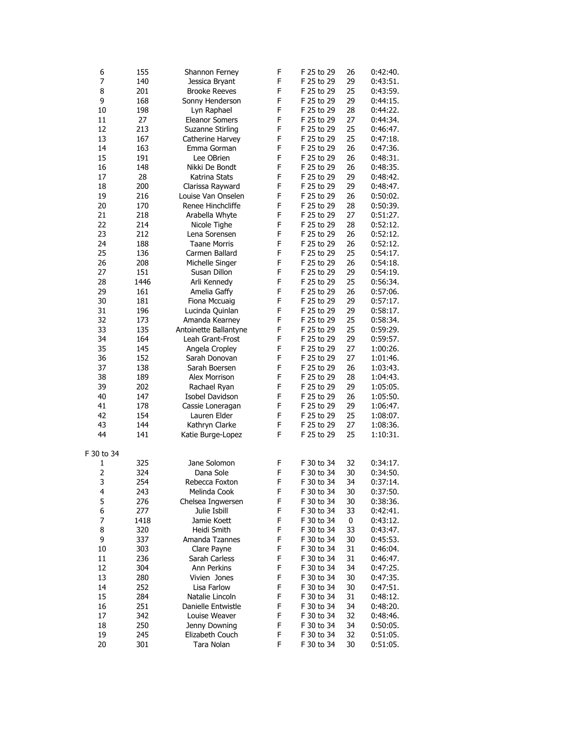| 6              | 155  | Shannon Ferney        | F | F 25 to 29 | 26 | 0:42:40. |
|----------------|------|-----------------------|---|------------|----|----------|
| 7              | 140  | Jessica Bryant        | F | F 25 to 29 | 29 | 0:43:51. |
| 8              | 201  | <b>Brooke Reeves</b>  | F | F 25 to 29 | 25 | 0:43:59. |
| 9              | 168  | Sonny Henderson       | F | F 25 to 29 | 29 | 0:44:15. |
| 10             | 198  | Lyn Raphael           | F | F 25 to 29 | 28 | 0:44:22. |
| 11             | 27   | <b>Eleanor Somers</b> | F | F 25 to 29 | 27 | 0:44:34. |
| 12             | 213  | Suzanne Stirling      | F | F 25 to 29 | 25 | 0:46:47. |
| 13             | 167  | Catherine Harvey      | F | F 25 to 29 | 25 | 0:47:18. |
| 14             | 163  | Emma Gorman           | F | F 25 to 29 | 26 | 0:47:36. |
| 15             | 191  | Lee OBrien            | F | F 25 to 29 | 26 | 0:48:31. |
| 16             | 148  | Nikki De Bondt        | F | F 25 to 29 | 26 | 0:48:35. |
| 17             | 28   | Katrina Stats         | F | F 25 to 29 | 29 | 0:48:42. |
| 18             | 200  | Clarissa Rayward      | F | F 25 to 29 | 29 | 0:48:47. |
| 19             | 216  | Louise Van Onselen    | F | F 25 to 29 | 26 | 0:50:02. |
| 20             | 170  | Renee Hinchcliffe     | F | F 25 to 29 | 28 | 0:50:39. |
| 21             | 218  | Arabella Whyte        | F | F 25 to 29 | 27 | 0:51:27. |
| 22             | 214  | Nicole Tighe          | F | F 25 to 29 | 28 | 0:52:12. |
| 23             | 212  | Lena Sorensen         | F | F 25 to 29 | 26 | 0:52:12. |
| 24             | 188  | <b>Taane Morris</b>   | F | F 25 to 29 | 26 | 0:52:12. |
| 25             | 136  | Carmen Ballard        | F | F 25 to 29 | 25 | 0:54:17. |
| 26             | 208  | Michelle Singer       | F | F 25 to 29 | 26 | 0:54:18. |
| 27             | 151  | Susan Dillon          | F | F 25 to 29 | 29 | 0:54:19. |
| 28             | 1446 | Arli Kennedy          | F | F 25 to 29 | 25 | 0:56:34. |
| 29             | 161  | Amelia Gaffy          | F | F 25 to 29 | 26 | 0:57:06. |
| 30             | 181  | Fiona Mccuaig         | F | F 25 to 29 | 29 | 0:57:17. |
| 31             | 196  | Lucinda Quinlan       | F | F 25 to 29 | 29 | 0:58:17. |
| 32             | 173  | Amanda Kearney        | F | F 25 to 29 | 25 | 0:58:34. |
| 33             | 135  | Antoinette Ballantyne | F | F 25 to 29 | 25 | 0:59:29. |
| 34             | 164  | Leah Grant-Frost      | F | F 25 to 29 | 29 | 0:59:57. |
| 35             | 145  | Angela Cropley        | F | F 25 to 29 | 27 | 1:00:26. |
| 36             | 152  | Sarah Donovan         | F | F 25 to 29 | 27 | 1:01:46. |
| 37             | 138  | Sarah Boersen         | F | F 25 to 29 | 26 | 1:03:43. |
| 38             | 189  | Alex Morrison         | F | F 25 to 29 | 28 | 1:04:43. |
| 39             | 202  | Rachael Ryan          | F | F 25 to 29 | 29 | 1:05:05. |
| 40             | 147  | Isobel Davidson       | F | F 25 to 29 | 26 | 1:05:50. |
| 41             | 178  | Cassie Loneragan      | F | F 25 to 29 | 29 | 1:06:47. |
| 42             | 154  | Lauren Elder          | F | F 25 to 29 | 25 | 1:08:07. |
| 43             | 144  | Kathryn Clarke        | F | F 25 to 29 | 27 | 1:08:36. |
| 44             | 141  | Katie Burge-Lopez     | F | F 25 to 29 | 25 | 1:10:31. |
|                |      |                       |   |            |    |          |
| F 30 to 34     |      |                       |   |            |    |          |
| $\mathbf{1}$   | 325  | Jane Solomon          | F | F 30 to 34 | 32 | 0:34:17. |
| $\overline{2}$ | 324  | Dana Sole             | F | F 30 to 34 | 30 | 0:34:50. |
| 3              | 254  | Rebecca Foxton        | F | F 30 to 34 | 34 | 0:37:14. |
| 4              | 243  | Melinda Cook          | F | F 30 to 34 | 30 | 0:37:50. |
| 5              | 276  | Chelsea Ingwersen     | F | F 30 to 34 | 30 | 0:38:36. |
| 6              | 277  | Julie Isbill          | F | F 30 to 34 | 33 | 0:42:41. |
| 7              | 1418 | Jamie Koett           | F | F 30 to 34 | 0  | 0:43:12. |
| 8              | 320  | Heidi Smith           | F | F 30 to 34 | 33 | 0:43:47. |
| 9              | 337  | Amanda Tzannes        | F | F 30 to 34 | 30 | 0:45:53. |
| 10             | 303  | Clare Payne           | F | F 30 to 34 | 31 | 0:46:04. |
| 11             | 236  | Sarah Carless         | F | F 30 to 34 | 31 | 0:46:47. |
| 12             | 304  | Ann Perkins           | F | F 30 to 34 | 34 | 0:47:25. |
| 13             | 280  | Vivien Jones          | F | F 30 to 34 | 30 | 0:47:35. |
| 14             | 252  | Lisa Farlow           | F | F 30 to 34 | 30 | 0:47:51. |
| 15             | 284  | Natalie Lincoln       | F | F 30 to 34 | 31 | 0:48:12. |
| 16             | 251  | Danielle Entwistle    | F | F 30 to 34 | 34 | 0:48:20. |
| 17             | 342  | Louise Weaver         | F | F 30 to 34 | 32 | 0:48:46. |
| 18             | 250  | Jenny Downing         | F | F 30 to 34 | 34 | 0:50:05. |
| 19             | 245  | Elizabeth Couch       | F | F 30 to 34 | 32 | 0:51:05. |
| 20             | 301  | Tara Nolan            | F | F 30 to 34 | 30 | 0:51:05. |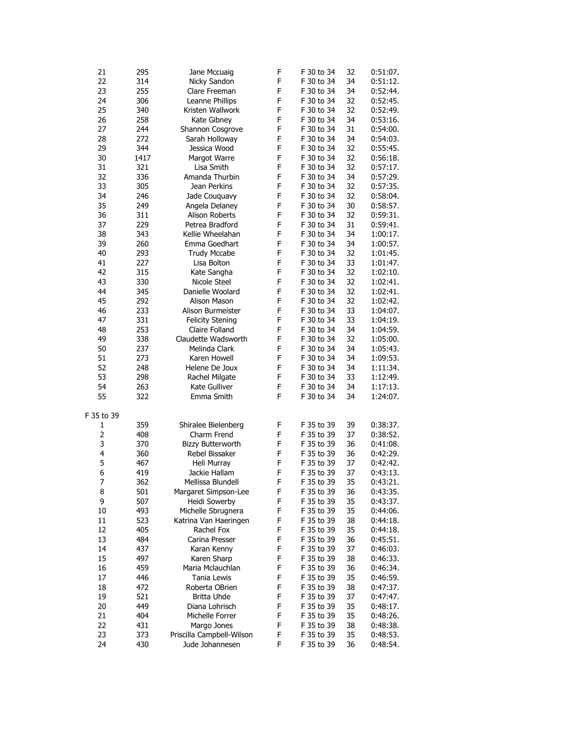| 21             | 295  | Jane Mccuaig              | F | F 30 to 34 | 32 | 0:51:07. |
|----------------|------|---------------------------|---|------------|----|----------|
| 22             | 314  | Nicky Sandon              | F | F 30 to 34 | 34 | 0:51:12. |
| 23             | 255  | Clare Freeman             | F | F 30 to 34 | 34 | 0:52:44. |
| 24             | 306  | Leanne Phillips           | F | F 30 to 34 | 32 | 0:52:45. |
| 25             | 340  | Kristen Wallwork          | F | F 30 to 34 | 32 | 0:52:49. |
| 26             | 258  | Kate Gibney               | F | F 30 to 34 | 34 | 0:53:16. |
| 27             | 244  | Shannon Cosgrove          | F | F 30 to 34 | 31 | 0:54:00. |
| 28             | 272  | Sarah Holloway            | F | F 30 to 34 | 34 | 0:54:03. |
| 29             | 344  | Jessica Wood              | F | F 30 to 34 | 32 | 0:55:45. |
| 30             | 1417 | Margot Warre              | F | F 30 to 34 | 32 | 0:56:18. |
| 31             | 321  | Lisa Smith                | F | F 30 to 34 | 32 | 0:57:17. |
| 32             | 336  | Amanda Thurbin            | F | F 30 to 34 | 34 | 0:57:29. |
| 33             | 305  | Jean Perkins              | F | F 30 to 34 | 32 | 0:57:35. |
| 34             | 246  | Jade Couquavy             | F | F 30 to 34 | 32 | 0:58:04. |
| 35             | 249  | Angela Delaney            | F | F 30 to 34 | 30 | 0:58:57. |
| 36             | 311  | Alison Roberts            | F | F 30 to 34 | 32 | 0:59:31. |
| 37             |      | Petrea Bradford           | F |            | 31 |          |
|                | 229  |                           |   | F 30 to 34 |    | 0:59:41. |
| 38             | 343  | Kellie Wheelahan          | F | F 30 to 34 | 34 | 1:00:17. |
| 39             | 260  | Emma Goedhart             | F | F 30 to 34 | 34 | 1:00:57. |
| 40             | 293  | <b>Trudy Mccabe</b>       | F | F 30 to 34 | 32 | 1:01:45. |
| 41             | 227  | Lisa Bolton               | F | F 30 to 34 | 33 | 1:01:47. |
| 42             | 315  | Kate Sangha               | F | F 30 to 34 | 32 | 1:02:10. |
| 43             | 330  | Nicole Steel              | F | F 30 to 34 | 32 | 1:02:41. |
| 44             | 345  | Danielle Woolard          | F | F 30 to 34 | 32 | 1:02:41. |
| 45             | 292  | <b>Alison Mason</b>       | F | F 30 to 34 | 32 | 1:02:42. |
| 46             | 233  | Alison Burmeister         | F | F 30 to 34 | 33 | 1:04:07. |
| 47             | 331  | <b>Felicity Stening</b>   | F | F 30 to 34 | 33 | 1:04:19. |
| 48             | 253  | Claire Folland            | F | F 30 to 34 | 34 | 1:04:59. |
| 49             | 338  | Claudette Wadsworth       | F | F 30 to 34 | 32 | 1:05:00. |
| 50             | 237  | Melinda Clark             | F | F 30 to 34 | 34 | 1:05:43. |
| 51             | 273  | Karen Howell              | F | F 30 to 34 | 34 | 1:09:53. |
| 52             | 248  | Helene De Joux            | F | F 30 to 34 | 34 | 1:11:34. |
| 53             | 298  | Rachel Milgate            | F | F 30 to 34 | 33 | 1:12:49. |
| 54             | 263  | Kate Gulliver             | F | F 30 to 34 | 34 | 1:17:13. |
| 55             | 322  | Emma Smith                | F | F 30 to 34 | 34 | 1:24:07. |
|                |      |                           |   |            |    |          |
| F 35 to 39     |      |                           |   |            |    |          |
| 1              | 359  | Shiralee Bielenberg       | F | F 35 to 39 | 39 | 0:38:37. |
| $\overline{2}$ | 408  | Charm Frend               | F | F 35 to 39 | 37 | 0:38:52. |
| 3              | 370  | <b>Bizzy Butterworth</b>  | F | F 35 to 39 | 36 | 0:41:08. |
| 4              | 360  | Rebel Bissaker            | F | F 35 to 39 | 36 | 0:42:29. |
| 5              | 467  | Heli Murray               | F | F 35 to 39 | 37 | 0:42:42. |
| 6              | 419  | Jackie Hallam             | F | F 35 to 39 | 37 | 0:43:13. |
| 7              | 362  | Mellissa Blundell         | F | F 35 to 39 | 35 | 0:43:21. |
|                | 501  |                           | F | F 35 to 39 | 36 |          |
| 8<br>9         |      | Margaret Simpson-Lee      | F |            |    | 0:43:35. |
|                | 507  | Heidi Sowerby             |   | F 35 to 39 | 35 | 0:43:37. |
| 10             | 493  | Michelle Sbrugnera        | F | F 35 to 39 | 35 | 0:44:06. |
| 11             | 523  | Katrina Van Haeringen     | F | F 35 to 39 | 38 | 0:44:18. |
| 12             | 405  | Rachel Fox                | F | F 35 to 39 | 35 | 0:44:18. |
| 13             | 484  | Carina Presser            | F | F 35 to 39 | 36 | 0:45:51. |
| 14             | 437  | Karan Kenny               | F | F 35 to 39 | 37 | 0:46:03. |
| 15             | 497  | Karen Sharp               | F | F 35 to 39 | 38 | 0:46:33. |
| 16             | 459  | Maria Mclauchlan          | F | F 35 to 39 | 36 | 0:46:34. |
| 17             | 446  | <b>Tania Lewis</b>        | F | F 35 to 39 | 35 | 0:46:59. |
| 18             | 472  | Roberta OBrien            | F | F 35 to 39 | 38 | 0:47:37. |
| 19             | 521  | Britta Uhde               | F | F 35 to 39 | 37 | 0:47:47. |
| 20             | 449  | Diana Lohrisch            | F | F 35 to 39 | 35 | 0:48:17. |
| 21             | 404  | Michelle Forrer           | F | F 35 to 39 | 35 | 0:48:26. |
| 22             | 431  | Margo Jones               | F | F 35 to 39 | 38 | 0:48:38. |
| 23             | 373  | Priscilla Campbell-Wilson | F | F 35 to 39 | 35 | 0:48:53. |
| 24             | 430  | Jude Johannesen           | F | F 35 to 39 | 36 | 0:48:54. |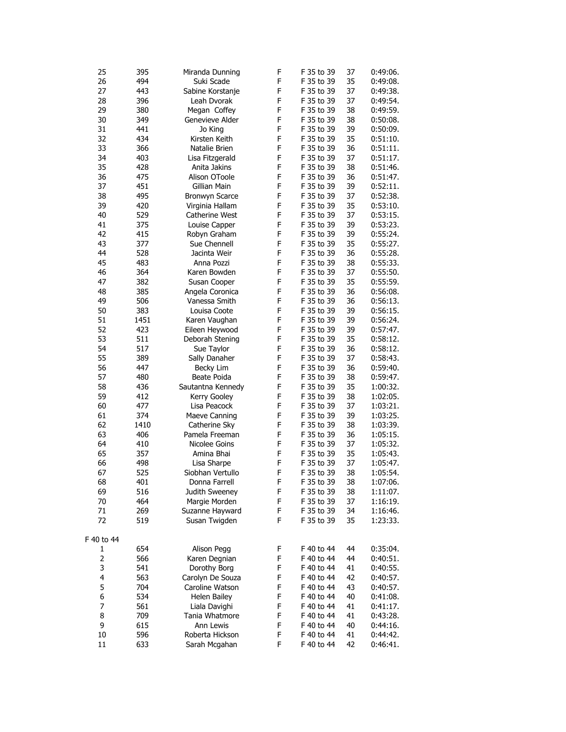| 25          | 395        | Miranda Dunning                  | F      | F 35 to 39 | 37       | 0:49:06.             |
|-------------|------------|----------------------------------|--------|------------|----------|----------------------|
| 26          | 494        | Suki Scade                       | F      | F 35 to 39 | 35       | 0:49:08.             |
| 27          | 443        | Sabine Korstanje                 | F      | F 35 to 39 | 37       | 0:49:38.             |
| 28          | 396        | Leah Dvorak                      | F      | F 35 to 39 | 37       | 0:49:54.             |
| 29          | 380        | Megan Coffey                     | F      | F 35 to 39 | 38       | 0:49:59.             |
| 30          | 349        | Genevieve Alder                  | F      | F 35 to 39 | 38       | 0:50:08.             |
| 31          | 441        | Jo King                          | F      | F 35 to 39 | 39       | 0:50:09.             |
| 32          | 434        | Kirsten Keith                    | F      | F 35 to 39 | 35       | 0:51:10.             |
| 33          | 366        | Natalie Brien                    | F      | F 35 to 39 | 36       | 0:51:11.             |
| 34          | 403        | Lisa Fitzgerald                  | F      | F 35 to 39 | 37       | 0:51:17.             |
| 35          | 428        | Anita Jakins                     | F      | F 35 to 39 | 38       | 0:51:46.             |
| 36          | 475        | Alison OToole                    | F      | F 35 to 39 | 36       | 0:51:47.             |
| 37          | 451        | Gillian Main                     | F      | F 35 to 39 | 39       | 0:52:11.             |
| 38          | 495        | <b>Bronwyn Scarce</b>            | F      | F 35 to 39 | 37       | 0:52:38.             |
| 39          | 420        | Virginia Hallam                  | F      | F 35 to 39 | 35       | 0:53:10.             |
| 40          | 529        | Catherine West                   | F      | F 35 to 39 | 37       | 0:53:15.             |
| 41          | 375        | Louise Capper                    | F      | F 35 to 39 | 39       | 0:53:23.             |
| 42          | 415        | Robyn Graham                     | F      | F 35 to 39 | 39       | 0:55:24.             |
| 43          | 377        | Sue Chennell                     | F      | F 35 to 39 | 35       | 0:55:27.             |
| 44          | 528        | Jacinta Weir                     | F      | F 35 to 39 | 36       | 0:55:28.             |
| 45          | 483        | Anna Pozzi                       | F      | F 35 to 39 | 38       | 0:55:33.             |
| 46          | 364        | Karen Bowden                     | F      | F 35 to 39 | 37       | 0:55:50.             |
| 47          | 382        | Susan Cooper                     | F      | F 35 to 39 | 35       | 0:55:59.             |
| 48          | 385        | Angela Coronica                  | F      | F 35 to 39 | 36       | 0:56:08.             |
| 49          | 506        | Vanessa Smith                    | F      | F 35 to 39 | 36       | 0:56:13.             |
| 50          | 383        | Louisa Coote                     | F      | F 35 to 39 | 39       | 0:56:15.             |
| 51          | 1451       | Karen Vaughan                    | F      | F 35 to 39 | 39       | 0:56:24.             |
| 52          | 423        | Eileen Heywood                   | F      | F 35 to 39 | 39       | 0:57:47.             |
| 53          | 511        | Deborah Stening                  | F      | F 35 to 39 | 35       | 0:58:12.             |
| 54          | 517        | Sue Taylor                       | F      | F 35 to 39 | 36       | 0:58:12.             |
| 55          | 389        | Sally Danaher                    | F      | F 35 to 39 | 37       | 0:58:43.             |
| 56          | 447        | Becky Lim                        | F      | F 35 to 39 | 36       | 0:59:40.             |
| 57          | 480        | Beate Poida                      | F      | F 35 to 39 | 38       | 0:59:47.             |
| 58          | 436        | Sautantna Kennedy                | F      | F 35 to 39 | 35       | 1:00:32.             |
| 59          | 412        | Kerry Gooley                     | F      | F 35 to 39 | 38       | 1:02:05.             |
| 60          | 477        | Lisa Peacock                     | F      | F 35 to 39 | 37       | 1:03:21.             |
| 61          | 374        | Maeve Canning                    | F      | F 35 to 39 | 39       | 1:03:25.             |
| 62          | 1410       | Catherine Sky                    | F      | F 35 to 39 | 38       | 1:03:39.             |
| 63          | 406        | Pamela Freeman                   | F      | F 35 to 39 | 36       | 1:05:15.             |
| 64          | 410        | Nicolee Goins                    | F      | F 35 to 39 | 37       | 1:05:32.             |
| 65          | 357        | Amina Bhai                       | F      | F 35 to 39 | 35       | 1:05:43.             |
| 66          | 498        | Lisa Sharpe                      | F      | F 35 to 39 | 37       | 1:05:47.             |
| 67          | 525        | Siobhan Vertullo                 | F      | F 35 to 39 | 38       | 1:05:54.             |
| 68          | 401        | Donna Farrell                    | F      | F 35 to 39 | 38       | 1:07:06.             |
| 69          | 516        | Judith Sweeney                   | F      | F 35 to 39 | 38       | 1:11:07.             |
| 70          | 464        | Margie Morden                    | F      | F 35 to 39 | 37       | 1:16:19.             |
| 71          | 269        | Suzanne Hayward                  | F      | F 35 to 39 | 34       | 1:16:46.             |
| 72          | 519        | Susan Twigden                    | F      | F 35 to 39 | 35       | 1:23:33.             |
| F 40 to 44  |            |                                  |        |            |          |                      |
| 1           | 654        | Alison Pegg                      | F      | F 40 to 44 | 44       | 0:35:04.             |
| $\mathbf 2$ |            |                                  |        | F 40 to 44 |          |                      |
| 3           | 566<br>541 | Karen Degnian                    | F<br>F | F 40 to 44 | 44<br>41 | 0:40:51.             |
| 4           | 563        | Dorothy Borg<br>Carolyn De Souza | F      | F 40 to 44 | 42       | 0:40:55.<br>0:40:57. |
| 5           | 704        | Caroline Watson                  | F      | F 40 to 44 | 43       |                      |
|             |            | <b>Helen Bailey</b>              |        |            |          | 0:40:57.             |
| 6           | 534        |                                  | F      | F 40 to 44 | 40       | 0:41:08.             |
| 7           | 561        | Liala Davighi                    | F      | F 40 to 44 | 41       | 0:41:17.             |
| 8           | 709        | Tania Whatmore                   | F      | F 40 to 44 | 41       | 0:43:28.             |
| 9           | 615        | Ann Lewis                        | F      | F 40 to 44 | 40       | 0:44:16.             |
| 10          | 596        | Roberta Hickson                  | F      | F 40 to 44 | 41<br>42 | 0:44:42.             |
| 11          | 633        | Sarah Mcgahan                    | F      | F 40 to 44 |          | 0:46:41.             |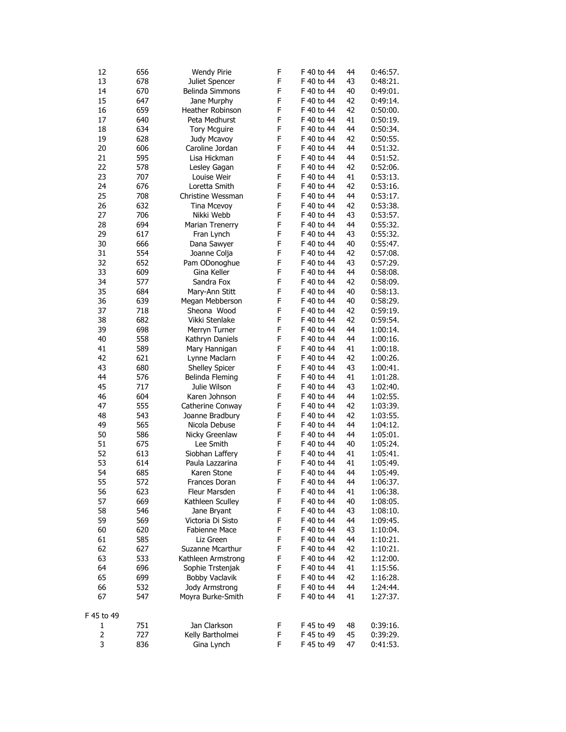| 12         | 656 | Wendy Pirie                   | F | F 40 to 44 | 44 | 0:46:57. |
|------------|-----|-------------------------------|---|------------|----|----------|
| 13         | 678 | Juliet Spencer                | F | F 40 to 44 | 43 | 0:48:21. |
| 14         | 670 | Belinda Simmons               | F | F 40 to 44 | 40 | 0:49:01. |
| 15         | 647 | Jane Murphy                   | F | F 40 to 44 | 42 | 0:49:14. |
| 16         | 659 | Heather Robinson              | F | F 40 to 44 | 42 | 0:50:00. |
| 17         | 640 | Peta Medhurst                 | F | F 40 to 44 | 41 | 0:50:19. |
| 18         | 634 | <b>Tory Mcguire</b>           | F | F 40 to 44 | 44 | 0:50:34. |
| 19         | 628 | Judy Mcavoy                   | F | F 40 to 44 | 42 | 0:50:55. |
| 20         | 606 | Caroline Jordan               | F | F 40 to 44 | 44 | 0:51:32. |
| 21         | 595 | Lisa Hickman                  | F | F 40 to 44 | 44 | 0:51:52. |
| 22         | 578 | Lesley Gagan                  | F | F 40 to 44 | 42 | 0:52:06. |
| 23         | 707 | Louise Weir                   | F | F 40 to 44 | 41 | 0:53:13. |
| 24         | 676 | Loretta Smith                 | F | F 40 to 44 | 42 | 0:53:16. |
| 25         | 708 | Christine Wessman             | F | F 40 to 44 | 44 | 0:53:17. |
| 26         | 632 | Tina Mcevoy                   | F | F 40 to 44 | 42 | 0:53:38. |
| 27         | 706 | Nikki Webb                    | F | F 40 to 44 | 43 | 0:53:57. |
| 28         | 694 |                               | F | F 40 to 44 | 44 |          |
|            |     | Marian Trenerry               |   |            |    | 0:55:32. |
| 29         | 617 | Fran Lynch                    | F | F 40 to 44 | 43 | 0:55:32. |
| 30         | 666 | Dana Sawyer                   | F | F 40 to 44 | 40 | 0:55:47. |
| 31         | 554 | Joanne Colja                  | F | F 40 to 44 | 42 | 0:57:08. |
| 32         | 652 | Pam ODonoghue                 | F | F 40 to 44 | 43 | 0:57:29. |
| 33         | 609 | Gina Keller                   | F | F 40 to 44 | 44 | 0:58:08. |
| 34         | 577 | Sandra Fox                    | F | F 40 to 44 | 42 | 0:58:09. |
| 35         | 684 | Mary-Ann Stitt                | F | F 40 to 44 | 40 | 0:58:13. |
| 36         | 639 | Megan Mebberson               | F | F 40 to 44 | 40 | 0:58:29. |
| 37         | 718 | Sheona Wood                   | F | F 40 to 44 | 42 | 0:59:19. |
| 38         | 682 | Vikki Stenlake                | F | F 40 to 44 | 42 | 0:59:54. |
| 39         | 698 | Merryn Turner                 | F | F 40 to 44 | 44 | 1:00:14. |
| 40         | 558 | Kathryn Daniels               | F | F 40 to 44 | 44 | 1:00:16. |
| 41         | 589 | Mary Hannigan                 | F | F 40 to 44 | 41 | 1:00:18. |
| 42         | 621 | Lynne Maclarn                 | F | F 40 to 44 | 42 | 1:00:26. |
| 43         | 680 | <b>Shelley Spicer</b>         | F | F 40 to 44 | 43 | 1:00:41. |
| 44         | 576 | Belinda Fleming               | F | F 40 to 44 | 41 | 1:01:28. |
| 45         | 717 | Julie Wilson                  | F | F 40 to 44 | 43 | 1:02:40. |
| 46         | 604 | Karen Johnson                 | F | F 40 to 44 | 44 | 1:02:55. |
| 47         | 555 | Catherine Conway              | F | F 40 to 44 | 42 | 1:03:39. |
| 48         | 543 | Joanne Bradbury               | F | F 40 to 44 | 42 | 1:03:55. |
| 49         | 565 | Nicola Debuse                 | F | F 40 to 44 | 44 | 1:04:12. |
| 50         | 586 | Nicky Greenlaw                | F | F 40 to 44 | 44 | 1:05:01. |
| 51         | 675 | Lee Smith                     | F | F 40 to 44 | 40 | 1:05:24. |
| 52         | 613 | Siobhan Laffery               | F | F 40 to 44 | 41 | 1:05:41. |
| 53         | 614 | Paula Lazzarina               | F | F 40 to 44 | 41 | 1:05:49. |
| 54         | 685 | Karen Stone                   | F | F 40 to 44 | 44 | 1:05:49. |
| 55         | 572 | Frances Doran                 | F | F 40 to 44 | 44 | 1:06:37. |
| 56         | 623 | Fleur Marsden                 | F | F 40 to 44 | 41 | 1:06:38. |
| 57         | 669 | Kathleen Sculley              | F | F 40 to 44 | 40 | 1:08:05. |
| 58         | 546 | Jane Bryant                   | F | F 40 to 44 | 43 | 1:08:10. |
| 59         | 569 | Victoria Di Sisto             | F | F 40 to 44 | 44 | 1:09:45. |
| 60         | 620 | <b>Fabienne Mace</b>          | F | F 40 to 44 | 43 | 1:10:04. |
|            |     |                               | F |            | 44 |          |
| 61         | 585 | Liz Green<br>Suzanne Mcarthur | F | F 40 to 44 |    | 1:10:21. |
| 62         | 627 |                               |   | F 40 to 44 | 42 | 1:10:21. |
| 63         | 533 | Kathleen Armstrong            | F | F 40 to 44 | 42 | 1:12:00. |
| 64         | 696 | Sophie Trstenjak              | F | F 40 to 44 | 41 | 1:15:56. |
| 65         | 699 | <b>Bobby Vaclavik</b>         | F | F 40 to 44 | 42 | 1:16:28. |
| 66         | 532 | Jody Armstrong                | F | F 40 to 44 | 44 | 1:24:44. |
| 67         | 547 | Moyra Burke-Smith             | F | F 40 to 44 | 41 | 1:27:37. |
| F 45 to 49 |     |                               |   |            |    |          |
| 1          | 751 | Jan Clarkson                  | F | F 45 to 49 | 48 | 0:39:16. |
| 2          | 727 | Kelly Bartholmei              | F | F 45 to 49 | 45 | 0:39:29. |
| 3          | 836 | Gina Lynch                    | F | F 45 to 49 | 47 | 0:41:53. |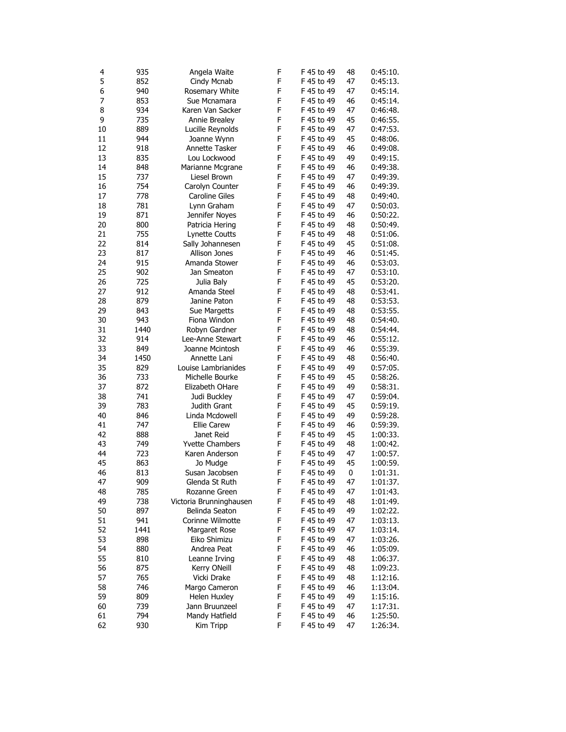| 4  | 935  | Angela Waite            | F | F 45 to 49 | 48 | 0:45:10. |
|----|------|-------------------------|---|------------|----|----------|
| 5  | 852  | Cindy Mcnab             | F | F 45 to 49 | 47 | 0:45:13. |
| 6  | 940  | Rosemary White          | F | F 45 to 49 | 47 | 0:45:14. |
| 7  | 853  | Sue Mcnamara            | F | F 45 to 49 | 46 | 0:45:14. |
| 8  | 934  | Karen Van Sacker        | F | F 45 to 49 | 47 | 0:46:48. |
| 9  | 735  | Annie Brealey           | F | F 45 to 49 | 45 | 0:46:55. |
| 10 | 889  | Lucille Reynolds        | F | F 45 to 49 | 47 | 0:47:53. |
| 11 | 944  | Joanne Wynn             | F | F 45 to 49 | 45 | 0:48:06. |
| 12 | 918  | Annette Tasker          | F | F 45 to 49 | 46 | 0:49:08. |
| 13 | 835  | Lou Lockwood            | F | F 45 to 49 | 49 | 0:49:15. |
| 14 | 848  |                         | F |            |    |          |
|    |      | Marianne Mcgrane        |   | F 45 to 49 | 46 | 0:49:38. |
| 15 | 737  | Liesel Brown            | F | F 45 to 49 | 47 | 0:49:39. |
| 16 | 754  | Carolyn Counter         | F | F 45 to 49 | 46 | 0:49:39. |
| 17 | 778  | <b>Caroline Giles</b>   | F | F 45 to 49 | 48 | 0:49:40. |
| 18 | 781  | Lynn Graham             | F | F 45 to 49 | 47 | 0:50:03. |
| 19 | 871  | Jennifer Noyes          | F | F 45 to 49 | 46 | 0:50:22. |
| 20 | 800  | Patricia Hering         | F | F 45 to 49 | 48 | 0:50:49. |
| 21 | 755  | <b>Lynette Coutts</b>   | F | F 45 to 49 | 48 | 0:51:06. |
| 22 | 814  | Sally Johannesen        | F | F 45 to 49 | 45 | 0:51:08. |
| 23 | 817  | Allison Jones           | F | F 45 to 49 | 46 | 0:51:45. |
| 24 | 915  | Amanda Stower           | F | F 45 to 49 | 46 | 0:53:03. |
| 25 | 902  | Jan Smeaton             | F | F 45 to 49 | 47 | 0:53:10. |
| 26 | 725  | Julia Baly              | F | F 45 to 49 | 45 | 0:53:20. |
| 27 | 912  | Amanda Steel            | F | F 45 to 49 | 48 | 0:53:41. |
| 28 | 879  | Janine Paton            | F | F 45 to 49 | 48 | 0:53:53. |
| 29 | 843  | Sue Margetts            | F | F 45 to 49 | 48 | 0:53:55. |
| 30 | 943  | Fiona Windon            | F | F 45 to 49 | 48 | 0:54:40. |
| 31 | 1440 | Robyn Gardner           | F | F 45 to 49 | 48 | 0:54:44. |
| 32 | 914  | Lee-Anne Stewart        | F | F 45 to 49 | 46 | 0:55:12. |
| 33 | 849  | Joanne Mcintosh         | F | F 45 to 49 | 46 | 0:55:39. |
| 34 | 1450 | Annette Lani            | F | F 45 to 49 | 48 | 0:56:40. |
| 35 | 829  | Louise Lambrianides     | F | F 45 to 49 | 49 | 0:57:05. |
| 36 | 733  | Michelle Bourke         | F | F 45 to 49 | 45 | 0:58:26. |
| 37 | 872  | Elizabeth OHare         | F | F 45 to 49 | 49 | 0:58:31. |
| 38 | 741  | Judi Buckley            | F | F 45 to 49 | 47 | 0:59:04. |
| 39 | 783  | Judith Grant            | F | F 45 to 49 | 45 | 0:59:19. |
| 40 | 846  | Linda Mcdowell          | F | F 45 to 49 |    | 0:59:28. |
| 41 | 747  |                         | F |            | 49 |          |
|    |      | <b>Ellie Carew</b>      |   | F 45 to 49 | 46 | 0:59:39. |
| 42 | 888  | Janet Reid              | F | F 45 to 49 | 45 | 1:00:33. |
| 43 | 749  | <b>Yvette Chambers</b>  | F | F 45 to 49 | 48 | 1:00:42. |
| 44 | 723  | Karen Anderson          | F | F 45 to 49 | 47 | 1:00:57. |
| 45 | 863  | Jo Mudge                | F | F 45 to 49 | 45 | 1:00:59. |
| 46 | 813  | Susan Jacobsen          | F | F 45 to 49 | 0  | 1:01:31. |
| 47 | 909  | Glenda St Ruth          | F | F 45 to 49 | 47 | 1:01:37. |
| 48 | 785  | Rozanne Green           | F | F 45 to 49 | 47 | 1:01:43. |
| 49 | 738  | Victoria Brunninghausen | F | F 45 to 49 | 48 | 1:01:49. |
| 50 | 897  | Belinda Seaton          | F | F 45 to 49 | 49 | 1:02:22. |
| 51 | 941  | Corinne Wilmotte        | F | F 45 to 49 | 47 | 1:03:13. |
| 52 | 1441 | Margaret Rose           | F | F 45 to 49 | 47 | 1:03:14. |
| 53 | 898  | Eiko Shimizu            | F | F 45 to 49 | 47 | 1:03:26. |
| 54 | 880  | Andrea Peat             | F | F 45 to 49 | 46 | 1:05:09. |
| 55 | 810  | Leanne Irving           | F | F 45 to 49 | 48 | 1:06:37. |
| 56 | 875  | Kerry ONeill            | F | F 45 to 49 | 48 | 1:09:23. |
| 57 | 765  | Vicki Drake             | F | F 45 to 49 | 48 | 1:12:16. |
| 58 | 746  | Margo Cameron           | F | F 45 to 49 | 46 | 1:13:04. |
| 59 | 809  | Helen Huxley            | F | F 45 to 49 | 49 | 1:15:16. |
| 60 | 739  | Jann Bruunzeel          | F | F 45 to 49 | 47 | 1:17:31. |
| 61 | 794  | Mandy Hatfield          | F | F 45 to 49 | 46 | 1:25:50. |
| 62 | 930  | Kim Tripp               | F | F 45 to 49 | 47 | 1:26:34. |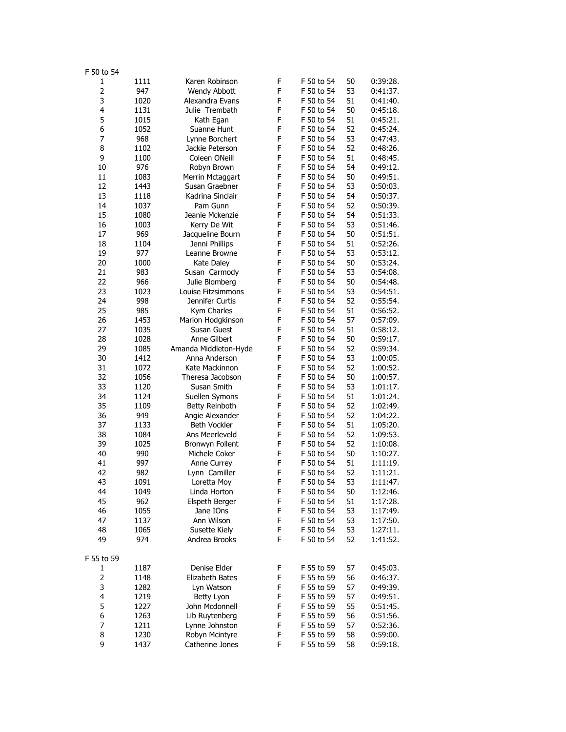| F 50 to 54     |      |                       |   |            |    |          |
|----------------|------|-----------------------|---|------------|----|----------|
| 1              | 1111 | Karen Robinson        | F | F 50 to 54 | 50 | 0:39:28. |
| $\overline{2}$ | 947  | Wendy Abbott          | F | F 50 to 54 | 53 | 0:41:37. |
| 3              | 1020 | Alexandra Evans       | F | F 50 to 54 | 51 | 0:41:40. |
| 4              | 1131 | Julie Trembath        | F | F 50 to 54 | 50 | 0:45:18. |
| 5              | 1015 | Kath Egan             | F | F 50 to 54 | 51 | 0:45:21. |
| 6              | 1052 | Suanne Hunt           | F | F 50 to 54 | 52 | 0:45:24. |
| 7              | 968  | Lynne Borchert        | F | F 50 to 54 | 53 | 0:47:43. |
| 8              | 1102 | Jackie Peterson       | F | F 50 to 54 | 52 | 0:48:26. |
| 9              | 1100 | Coleen ONeill         | F | F 50 to 54 | 51 | 0:48:45. |
| 10             | 976  | Robyn Brown           | F | F 50 to 54 | 54 | 0:49:12. |
| 11             | 1083 | Merrin Mctaggart      | F | F 50 to 54 | 50 | 0:49:51. |
| 12             | 1443 | Susan Graebner        | F | F 50 to 54 | 53 | 0:50:03. |
| 13             | 1118 | Kadrina Sinclair      | F | F 50 to 54 | 54 | 0:50:37. |
| 14             | 1037 | Pam Gunn              | F | F 50 to 54 | 52 | 0:50:39. |
| 15             | 1080 | Jeanie Mckenzie       | F | F 50 to 54 | 54 | 0:51:33. |
| 16             | 1003 | Kerry De Wit          | F | F 50 to 54 | 53 | 0:51:46. |
| 17             | 969  | Jacqueline Bourn      | F | F 50 to 54 | 50 | 0:51:51. |
| 18             | 1104 | Jenni Phillips        | F | F 50 to 54 | 51 | 0:52:26. |
|                |      |                       | F |            |    |          |
| 19             | 977  | Leanne Browne         |   | F 50 to 54 | 53 | 0:53:12. |
| 20             | 1000 | Kate Daley            | F | F 50 to 54 | 50 | 0:53:24. |
| 21             | 983  | Susan Carmody         | F | F 50 to 54 | 53 | 0:54:08. |
| 22             | 966  | Julie Blomberg        | F | F 50 to 54 | 50 | 0:54:48. |
| 23             | 1023 | Louise Fitzsimmons    | F | F 50 to 54 | 53 | 0:54:51. |
| 24             | 998  | Jennifer Curtis       | F | F 50 to 54 | 52 | 0:55:54. |
| 25             | 985  | Kym Charles           | F | F 50 to 54 | 51 | 0:56:52. |
| 26             | 1453 | Marion Hodgkinson     | F | F 50 to 54 | 57 | 0:57:09. |
| 27             | 1035 | Susan Guest           | F | F 50 to 54 | 51 | 0:58:12. |
| 28             | 1028 | Anne Gilbert          | F | F 50 to 54 | 50 | 0:59:17. |
| 29             | 1085 | Amanda Middleton-Hyde | F | F 50 to 54 | 52 | 0:59:34. |
| 30             | 1412 | Anna Anderson         | F | F 50 to 54 | 53 | 1:00:05. |
| 31             | 1072 | Kate Mackinnon        | F | F 50 to 54 | 52 | 1:00:52. |
| 32             | 1056 | Theresa Jacobson      | F | F 50 to 54 | 50 | 1:00:57. |
| 33             | 1120 | Susan Smith           | F | F 50 to 54 | 53 | 1:01:17. |
| 34             | 1124 | Suellen Symons        | F | F 50 to 54 | 51 | 1:01:24. |
| 35             | 1109 | Betty Reinboth        | F | F 50 to 54 | 52 | 1:02:49. |
| 36             | 949  | Angie Alexander       | F | F 50 to 54 | 52 | 1:04:22. |
| 37             | 1133 | <b>Beth Vockler</b>   | F | F 50 to 54 | 51 | 1:05:20. |
| 38             | 1084 | Ans Meerleveld        | F | F 50 to 54 | 52 | 1:09:53. |
| 39             | 1025 | Bronwyn Follent       | F | F 50 to 54 | 52 | 1:10:08. |
| 40             | 990  | Michele Coker         | F | F 50 to 54 | 50 | 1:10:27. |
| 41             | 997  | Anne Currey           | F | F 50 to 54 | 51 | 1:11:19. |
| 42             | 982  | Lynn Camiller         | F | F 50 to 54 | 52 | 1:11:21. |
| 43             | 1091 | Loretta Moy           | F | F 50 to 54 | 53 | 1:11:47. |
| 44             | 1049 | Linda Horton          | F | F 50 to 54 | 50 | 1:12:46. |
| 45             | 962  | Elspeth Berger        | F | F 50 to 54 | 51 | 1:17:28. |
| 46             | 1055 | Jane IOns             | F | F 50 to 54 | 53 | 1:17:49. |
| 47             | 1137 | Ann Wilson            | F | F 50 to 54 | 53 | 1:17:50. |
| 48             | 1065 | Susette Kiely         | F | F 50 to 54 | 53 | 1:27:11. |
| 49             | 974  | Andrea Brooks         | F |            | 52 | 1:41:52. |
|                |      |                       |   | F 50 to 54 |    |          |
| F 55 to 59     |      |                       |   |            |    |          |
| $\mathbf{1}$   | 1187 | Denise Elder          | F | F 55 to 59 | 57 | 0:45:03. |
| $\mathbf 2$    | 1148 | Elizabeth Bates       | F | F 55 to 59 | 56 | 0:46:37. |
| 3              | 1282 | Lyn Watson            | F | F 55 to 59 | 57 | 0:49:39. |
| 4              | 1219 | Betty Lyon            | F | F 55 to 59 | 57 | 0:49:51. |
| 5              | 1227 | John Mcdonnell        | F | F 55 to 59 | 55 | 0:51:45. |
| 6              | 1263 | Lib Ruytenberg        | F | F 55 to 59 | 56 | 0:51:56. |
| 7              | 1211 | Lynne Johnston        | F | F 55 to 59 | 57 | 0:52:36. |
| 8              | 1230 | Robyn Mcintyre        | F | F 55 to 59 | 58 | 0:59:00. |
| 9              | 1437 | Catherine Jones       | F | F 55 to 59 | 58 | 0:59:18. |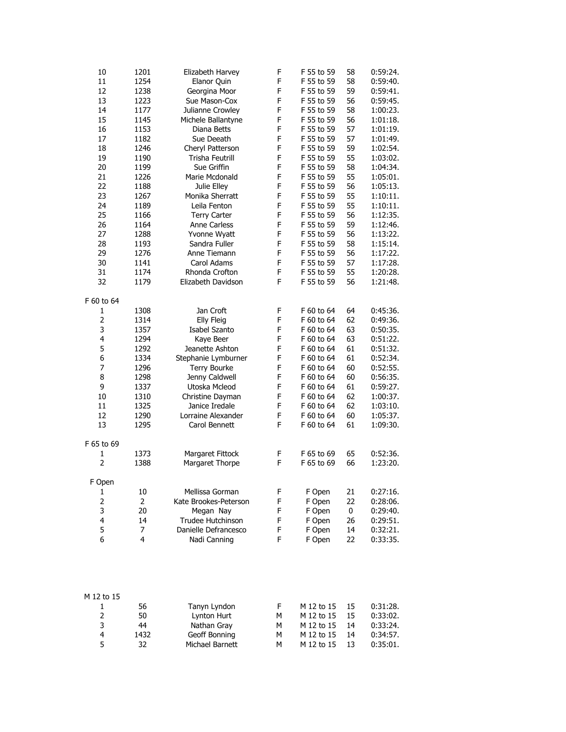| 10             | 1201           | Elizabeth Harvey       | F | F 55 to 59 | 58 | 0:59:24. |
|----------------|----------------|------------------------|---|------------|----|----------|
| 11             | 1254           | Elanor Quin            | F | F 55 to 59 | 58 | 0:59:40. |
| 12             | 1238           | Georgina Moor          | F | F 55 to 59 | 59 | 0:59:41. |
| 13             | 1223           | Sue Mason-Cox          | F | F 55 to 59 | 56 | 0:59:45. |
| 14             | 1177           | Julianne Crowley       | F | F 55 to 59 | 58 | 1:00:23. |
| 15             | 1145           | Michele Ballantyne     | F | F 55 to 59 | 56 | 1:01:18. |
| 16             | 1153           | Diana Betts            | F | F 55 to 59 | 57 | 1:01:19. |
| 17             | 1182           | Sue Deeath             | F | F 55 to 59 | 57 | 1:01:49. |
| 18             | 1246           | Cheryl Patterson       | F | F 55 to 59 | 59 | 1:02:54. |
| 19             | 1190           | <b>Trisha Feutrill</b> | F | F 55 to 59 | 55 | 1:03:02. |
| 20             | 1199           | Sue Griffin            | F | F 55 to 59 | 58 | 1:04:34. |
| 21             | 1226           | Marie Mcdonald         | F | F 55 to 59 | 55 | 1:05:01. |
| 22             | 1188           | Julie Elley            | F | F 55 to 59 | 56 | 1:05:13. |
| 23             | 1267           | Monika Sherratt        | F | F 55 to 59 | 55 | 1:10:11. |
| 24             | 1189           | Leila Fenton           | F | F 55 to 59 | 55 | 1:10:11. |
| 25             | 1166           | <b>Terry Carter</b>    | F | F 55 to 59 | 56 | 1:12:35. |
| 26             | 1164           | <b>Anne Carless</b>    | F | F 55 to 59 | 59 | 1:12:46. |
| 27             | 1288           | Yvonne Wyatt           | F | F 55 to 59 | 56 | 1:13:22. |
| 28             | 1193           | Sandra Fuller          | F | F 55 to 59 | 58 | 1:15:14. |
| 29             | 1276           | Anne Tiemann           | F | F 55 to 59 | 56 | 1:17:22. |
| 30             | 1141           | Carol Adams            | F | F 55 to 59 | 57 | 1:17:28. |
| 31             | 1174           | Rhonda Crofton         | F | F 55 to 59 | 55 | 1:20:28. |
| 32             | 1179           | Elizabeth Davidson     | F | F 55 to 59 | 56 | 1:21:48. |
|                |                |                        |   |            |    |          |
| F 60 to 64     |                |                        |   |            |    |          |
| 1              | 1308           | Jan Croft              | F | F 60 to 64 | 64 | 0:45:36. |
| 2              | 1314           | Elly Fleig             | F | F 60 to 64 | 62 | 0:49:36. |
| 3              | 1357           | Isabel Szanto          | F | F 60 to 64 | 63 | 0:50:35. |
| 4              | 1294           | Kaye Beer              | F | F 60 to 64 | 63 | 0:51:22. |
| 5              | 1292           | Jeanette Ashton        | F | F 60 to 64 | 61 | 0:51:32. |
| 6              | 1334           | Stephanie Lymburner    | F | F 60 to 64 | 61 | 0:52:34. |
| $\overline{7}$ | 1296           | <b>Terry Bourke</b>    | F | F 60 to 64 | 60 | 0:52:55. |
| 8              | 1298           | Jenny Caldwell         | F | F 60 to 64 | 60 | 0:56:35. |
| 9              | 1337           | Utoska Mcleod          | F | F 60 to 64 | 61 | 0:59:27. |
| 10             | 1310           | Christine Dayman       | F | F 60 to 64 | 62 | 1:00:37. |
| 11             | 1325           | Janice Iredale         | F | F 60 to 64 | 62 | 1:03:10. |
| 12             | 1290           | Lorraine Alexander     | F | F 60 to 64 | 60 | 1:05:37. |
| 13             | 1295           | Carol Bennett          | F | F 60 to 64 | 61 | 1:09:30. |
| F 65 to 69     |                |                        |   |            |    |          |
| 1              | 1373           | Margaret Fittock       | F | F 65 to 69 | 65 | 0:52:36. |
| $\overline{2}$ | 1388           | Margaret Thorpe        | F | F 65 to 69 | 66 | 1:23:20. |
|                |                |                        |   |            |    |          |
| F Open         |                |                        |   |            |    |          |
| 1              | 10             | Mellissa Gorman        | F | F Open     | 21 | 0:27:16. |
| 2              | $\overline{2}$ | Kate Brookes-Peterson  | F | F Open     | 22 | 0:28:06. |
| 3              | 20             | Megan Nay              | F | F Open     | 0  | 0:29:40. |
| 4              | 14             | Trudee Hutchinson      | F | F Open     | 26 | 0:29:51. |
| 5              | 7              | Danielle Defrancesco   | F | F Open     | 14 | 0:32:21. |
| 6              | 4              | Nadi Canning           | F | F Open     | 22 | 0:33:35. |

| M 12 to 15 |      |                 |   |            |      |             |
|------------|------|-----------------|---|------------|------|-------------|
|            | 56   | Tanyn Lyndon    | F | M 12 to 15 | - 15 | $0:31:28$ . |
|            | 50   | Lynton Hurt     | м | M 12 to 15 | 15   | 0:33:02.    |
| 3          | 44   | Nathan Grav     | м | M 12 to 15 | 14   | 0:33:24.    |
| 4          | 1432 | Geoff Bonning   | м | M 12 to 15 | 14   | 0:34:57.    |
| 5          | 32   | Michael Barnett | м | M 12 to 15 |      | 0:35:01.    |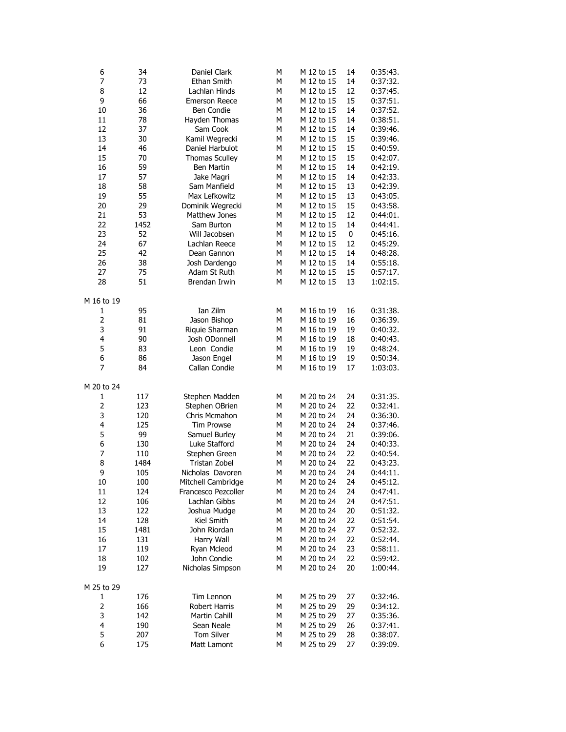| 6               | 34   | Daniel Clark          | М | M 12 to 15 | 14        | 0:35:43. |
|-----------------|------|-----------------------|---|------------|-----------|----------|
| 7               | 73   | Ethan Smith           | М | M 12 to 15 | 14        | 0:37:32. |
| 8               | 12   | Lachlan Hinds         | М | M 12 to 15 | 12        | 0:37:45. |
| 9               | 66   | <b>Emerson Reece</b>  | М | M 12 to 15 | 15        | 0:37:51. |
| 10              | 36   | <b>Ben Condie</b>     | М | M 12 to 15 | 14        | 0:37:52. |
| 11              | 78   | Hayden Thomas         | М | M 12 to 15 | 14        | 0:38:51. |
| 12              | 37   | Sam Cook              | M | M 12 to 15 | 14        | 0:39:46. |
| 13              | 30   | Kamil Wegrecki        | М | M 12 to 15 | 15        | 0:39:46. |
| 14              | 46   | Daniel Harbulot       | М | M 12 to 15 | 15        | 0:40:59. |
| 15              | 70   | <b>Thomas Sculley</b> | М | M 12 to 15 | 15        | 0:42:07. |
| 16              | 59   | Ben Martin            | М | M 12 to 15 | 14        | 0:42:19. |
| 17              | 57   | Jake Magri            | М | M 12 to 15 | 14        | 0:42:33. |
| 18              | 58   | Sam Manfield          | М | M 12 to 15 | 13        | 0:42:39. |
| 19              | 55   | Max Lefkowitz         | М | M 12 to 15 | 13        | 0:43:05. |
| 20              | 29   | Dominik Wegrecki      | М | M 12 to 15 | 15        | 0:43:58. |
| 21              | 53   | Matthew Jones         | М | M 12 to 15 | 12        | 0:44:01. |
| 22              | 1452 | Sam Burton            | М | M 12 to 15 | 14        | 0:44:41. |
| 23              | 52   | Will Jacobsen         | М | M 12 to 15 | $\pmb{0}$ | 0:45:16. |
| 24              | 67   | Lachlan Reece         | М | M 12 to 15 | 12        | 0:45:29. |
| 25              | 42   | Dean Gannon           | М | M 12 to 15 | 14        | 0:48:28. |
| 26              | 38   | Josh Dardengo         | М | M 12 to 15 | 14        | 0:55:18. |
| 27              | 75   | Adam St Ruth          | М | M 12 to 15 | 15        | 0:57:17. |
| 28              | 51   | <b>Brendan Irwin</b>  | М | M 12 to 15 | 13        | 1:02:15. |
|                 |      |                       |   |            |           |          |
| M 16 to 19      |      |                       |   |            |           |          |
| $\mathbf{1}$    | 95   | Ian Zilm              | М | M 16 to 19 | 16        | 0:31:38. |
| $\overline{2}$  | 81   | Jason Bishop          | М | M 16 to 19 | 16        | 0:36:39. |
| 3               | 91   | Riquie Sharman        | М | M 16 to 19 | 19        | 0:40:32. |
| 4               | 90   | Josh ODonnell         | М | M 16 to 19 | 18        | 0:40:43. |
| 5               | 83   | Leon Condie           | М | M 16 to 19 | 19        | 0:48:24. |
| 6               | 86   | Jason Engel           | М | M 16 to 19 | 19        | 0:50:34. |
| 7               | 84   | Callan Condie         | M | M 16 to 19 | 17        | 1:03:03. |
|                 |      |                       |   |            |           |          |
| M 20 to 24      |      |                       |   |            |           |          |
| 1               | 117  | Stephen Madden        | М | M 20 to 24 | 24        | 0:31:35. |
| $\overline{2}$  | 123  | Stephen OBrien        | М | M 20 to 24 | 22        | 0:32:41. |
| 3               | 120  | Chris Mcmahon         | М | M 20 to 24 | 24        | 0:36:30. |
| 4               | 125  | <b>Tim Prowse</b>     | М | M 20 to 24 | 24        | 0:37:46. |
| 5               | 99   | Samuel Burley         | М | M 20 to 24 | 21        | 0:39:06. |
| 6               | 130  | Luke Stafford         | М | M 20 to 24 | 24        | 0:40:33. |
| 7               | 110  | Stephen Green         | М | M 20 to 24 | 22        | 0:40:54. |
| 8               | 1484 | <b>Tristan Zobel</b>  | М | M 20 to 24 | 22        | 0:43:23. |
| 9               | 105  | Nicholas Davoren      | М | M 20 to 24 | 24        | 0:44:11. |
| $10\,$          | 100  | Mitchell Cambridge    | М | M 20 to 24 | 24        | 0:45:12. |
| 11              | 124  | Francesco Pezcoller   | м | M 20 to 24 | 24        | 0:47:41. |
| 12              | 106  | Lachlan Gibbs         | М | M 20 to 24 | 24        | 0:47:51. |
| 13              | 122  | Joshua Mudge          | М | M 20 to 24 | 20        | 0:51:32. |
| 14              | 128  | Kiel Smith            | М | M 20 to 24 | 22        | 0:51:54. |
| 15              | 1481 | John Riordan          | М | M 20 to 24 | 27        | 0:52:32. |
| 16              | 131  | Harry Wall            | М | M 20 to 24 | 22        | 0:52:44. |
| 17              | 119  | Ryan Mcleod           | М | M 20 to 24 | 23        | 0:58:11. |
| 18              | 102  | John Condie           | М | M 20 to 24 | 22        | 0:59:42. |
| 19              | 127  | Nicholas Simpson      | М | M 20 to 24 | 20        | 1:00:44. |
|                 |      |                       |   |            |           |          |
| M 25 to 29<br>1 | 176  | Tim Lennon            | М | M 25 to 29 | 27        | 0:32:46. |
| 2               | 166  | Robert Harris         | М | M 25 to 29 | 29        | 0:34:12. |
| 3               | 142  | Martin Cahill         | М | M 25 to 29 | 27        | 0:35:36. |
| 4               | 190  | Sean Neale            | М | M 25 to 29 | 26        | 0:37:41. |
| 5               | 207  | Tom Silver            | М | M 25 to 29 | 28        | 0:38:07. |
| 6               |      |                       |   |            | 27        |          |
|                 | 175  | Matt Lamont           | М | M 25 to 29 |           | 0:39:09. |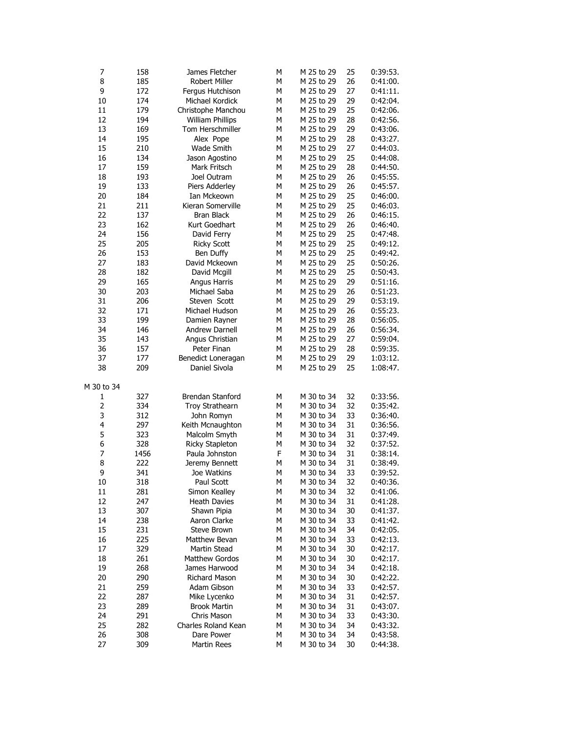| 7              | 158  | James Fletcher          | М | M 25 to 29 | 25 | 0:39:53. |
|----------------|------|-------------------------|---|------------|----|----------|
| 8              | 185  | <b>Robert Miller</b>    | М | M 25 to 29 | 26 | 0:41:00. |
| 9              | 172  | Fergus Hutchison        | M | M 25 to 29 | 27 | 0:41:11. |
| 10             | 174  | Michael Kordick         | M | M 25 to 29 | 29 | 0:42:04. |
| 11             | 179  | Christophe Manchou      | М | M 25 to 29 | 25 | 0:42:06. |
| 12             | 194  | <b>William Phillips</b> | M | M 25 to 29 | 28 | 0:42:56. |
| 13             | 169  | Tom Herschmiller        | M | M 25 to 29 | 29 | 0:43:06. |
| 14             | 195  | Alex Pope               | M | M 25 to 29 | 28 | 0:43:27. |
| 15             | 210  | Wade Smith              | М | M 25 to 29 | 27 | 0:44:03. |
| 16             | 134  | Jason Agostino          | M | M 25 to 29 | 25 | 0:44:08. |
| 17             | 159  | Mark Fritsch            | M | M 25 to 29 | 28 | 0:44:50. |
| 18             | 193  | Joel Outram             | М | M 25 to 29 | 26 | 0:45:55. |
| 19             | 133  | Piers Adderley          | M | M 25 to 29 | 26 | 0:45:57. |
| 20             | 184  | Ian Mckeown             | M | M 25 to 29 | 25 | 0:46:00. |
| 21             | 211  | Kieran Somerville       | M | M 25 to 29 | 25 | 0:46:03. |
| 22             | 137  | <b>Bran Black</b>       | М | M 25 to 29 | 26 | 0:46:15. |
| 23             | 162  | Kurt Goedhart           | M | M 25 to 29 | 26 | 0:46:40. |
| 24             | 156  | David Ferry             | M | M 25 to 29 | 25 | 0:47:48. |
| 25             | 205  | <b>Ricky Scott</b>      | М | M 25 to 29 | 25 | 0:49:12. |
| 26             | 153  | Ben Duffy               | M | M 25 to 29 | 25 | 0:49:42. |
| 27             | 183  | David Mckeown           | М | M 25 to 29 | 25 | 0:50:26. |
| 28             | 182  | David Mcgill            | M | M 25 to 29 | 25 | 0:50:43. |
| 29             | 165  | Angus Harris            | М | M 25 to 29 | 29 | 0:51:16. |
| 30             | 203  | Michael Saba            | M | M 25 to 29 | 26 | 0:51:23. |
| 31             | 206  | Steven Scott            | M | M 25 to 29 | 29 | 0:53:19. |
| 32             | 171  | Michael Hudson          | М | M 25 to 29 | 26 | 0:55:23. |
| 33             | 199  | Damien Rayner           | M | M 25 to 29 | 28 | 0:56:05. |
| 34             | 146  | Andrew Darnell          | М | M 25 to 29 | 26 | 0:56:34. |
| 35             | 143  | Angus Christian         | M | M 25 to 29 | 27 | 0:59:04. |
| 36             | 157  | Peter Finan             | М | M 25 to 29 | 28 | 0:59:35. |
| 37             | 177  | Benedict Loneragan      | M | M 25 to 29 | 29 | 1:03:12. |
| 38             | 209  | Daniel Sivola           | M | M 25 to 29 | 25 | 1:08:47. |
| M 30 to 34     |      |                         |   |            |    |          |
| 1              | 327  | Brendan Stanford        | М | M 30 to 34 | 32 | 0:33:56. |
| $\overline{2}$ | 334  | Troy Strathearn         | М | M 30 to 34 | 32 | 0:35:42. |
| 3              | 312  | John Romyn              | М | M 30 to 34 | 33 | 0:36:40. |
| 4              | 297  | Keith Mcnaughton        | M | M 30 to 34 | 31 | 0:36:56. |
| 5              | 323  | Malcolm Smyth           | М | M 30 to 34 | 31 | 0:37:49. |
| 6              | 328  | <b>Ricky Stapleton</b>  | M | M 30 to 34 | 32 | 0:37:52. |
| 7              | 1456 | Paula Johnston          | F | M 30 to 34 | 31 | 0:38:14. |
| 8              | 222  | Jeremy Bennett          | М | M 30 to 34 | 31 | 0:38:49. |
| 9              | 341  | Joe Watkins             | М | M 30 to 34 | 33 | 0:39:52. |
| $10\,$         | 318  | Paul Scott              | М | M 30 to 34 | 32 | 0:40:36. |
| 11             | 281  | Simon Kealley           | м | M 30 to 34 | 32 | 0:41:06. |
| 12             | 247  | <b>Heath Davies</b>     | М | M 30 to 34 | 31 | 0:41:28. |
| 13             | 307  | Shawn Pipia             | M | M 30 to 34 | 30 | 0:41:37. |
| 14             | 238  | Aaron Clarke            | M | M 30 to 34 | 33 | 0:41:42. |
| 15             | 231  | Steve Brown             | М | M 30 to 34 | 34 | 0:42:05. |
| 16             | 225  | Matthew Bevan           | М | M 30 to 34 | 33 | 0:42:13. |
| 17             | 329  | Martin Stead            | М | M 30 to 34 | 30 | 0:42:17. |
| 18             | 261  | <b>Matthew Gordos</b>   | М | M 30 to 34 | 30 | 0:42:17. |
| 19             | 268  | James Harwood           | М | M 30 to 34 | 34 | 0:42:18. |
| 20             | 290  | Richard Mason           | M | M 30 to 34 | 30 | 0:42:22. |
| 21             | 259  | Adam Gibson             | М | M 30 to 34 | 33 | 0:42:57. |
| 22             | 287  | Mike Lycenko            | М | M 30 to 34 | 31 | 0:42:57. |
| 23             | 289  | <b>Brook Martin</b>     | М | M 30 to 34 | 31 | 0:43:07. |
| 24             | 291  | Chris Mason             | м | M 30 to 34 | 33 | 0:43:30. |
| 25             | 282  | Charles Roland Kean     | М | M 30 to 34 | 34 | 0:43:32. |
| 26             | 308  | Dare Power              | М | M 30 to 34 | 34 | 0:43:58. |
| 27             | 309  | Martin Rees             | Μ | M 30 to 34 | 30 | 0:44:38. |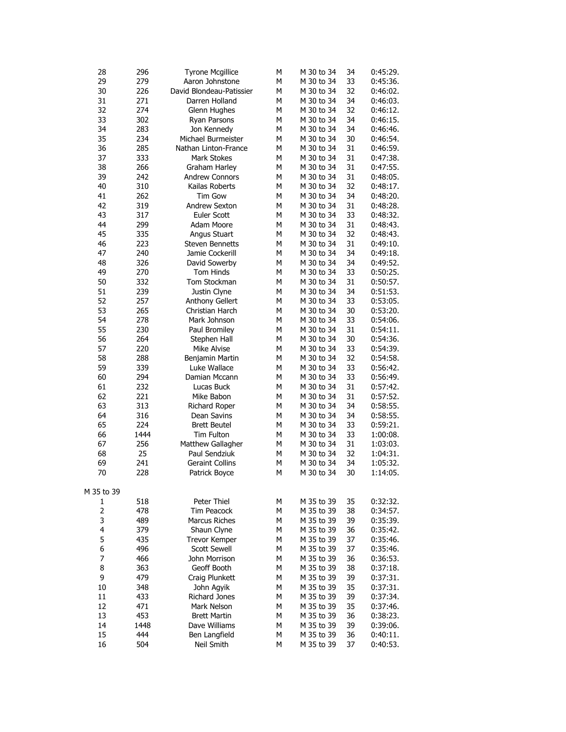| 28             | 296  | <b>Tyrone Mcgillice</b>  | М | M 30 to 34 | 34 | 0:45:29.             |
|----------------|------|--------------------------|---|------------|----|----------------------|
| 29             | 279  | Aaron Johnstone          | М | M 30 to 34 | 33 | 0:45:36.             |
| 30             | 226  | David Blondeau-Patissier | М | M 30 to 34 | 32 | 0:46:02.             |
| 31             | 271  | Darren Holland           | М | M 30 to 34 | 34 | 0:46:03.             |
| 32             | 274  | Glenn Hughes             | М | M 30 to 34 | 32 | 0:46:12.             |
| 33             | 302  | <b>Ryan Parsons</b>      | М | M 30 to 34 | 34 | 0:46:15.             |
| 34             | 283  | Jon Kennedy              | М | M 30 to 34 | 34 | 0:46:46.             |
| 35             | 234  | Michael Burmeister       | М | M 30 to 34 | 30 | 0:46:54.             |
| 36             | 285  | Nathan Linton-France     | М | M 30 to 34 | 31 | 0:46:59.             |
| 37             | 333  | <b>Mark Stokes</b>       | М | M 30 to 34 | 31 | 0:47:38.             |
| 38             | 266  | Graham Harley            | М | M 30 to 34 | 31 | 0:47:55.             |
| 39             | 242  | <b>Andrew Connors</b>    | М | M 30 to 34 | 31 | 0:48:05.             |
| 40             | 310  | Kailas Roberts           | М | M 30 to 34 | 32 | 0:48:17.             |
| 41             | 262  | <b>Tim Gow</b>           | М | M 30 to 34 | 34 | 0:48:20.             |
| 42             | 319  | <b>Andrew Sexton</b>     | М | M 30 to 34 | 31 | 0:48:28.             |
| 43             | 317  | <b>Euler Scott</b>       | М | M 30 to 34 | 33 | 0:48:32.             |
| 44             | 299  | Adam Moore               | М | M 30 to 34 | 31 | 0:48:43.             |
| 45             | 335  | Angus Stuart             | М | M 30 to 34 | 32 | 0:48:43.             |
| 46             | 223  | <b>Steven Bennetts</b>   | М | M 30 to 34 | 31 | 0:49:10.             |
| 47             |      | Jamie Cockerill          |   |            |    |                      |
|                | 240  |                          | М | M 30 to 34 | 34 | 0:49:18.             |
| 48             | 326  | David Sowerby            | М | M 30 to 34 | 34 | 0:49:52.             |
| 49             | 270  | Tom Hinds                | М | M 30 to 34 | 33 | 0:50:25.             |
| 50             | 332  | Tom Stockman             | М | M 30 to 34 | 31 | 0:50:57.             |
| 51             | 239  | Justin Clyne             | М | M 30 to 34 | 34 | 0:51:53.             |
| 52             | 257  | Anthony Gellert          | М | M 30 to 34 | 33 | 0:53:05.             |
| 53             | 265  | Christian Harch          | М | M 30 to 34 | 30 | 0:53:20.             |
| 54             | 278  | Mark Johnson             | М | M 30 to 34 | 33 | 0:54:06.             |
| 55             | 230  | Paul Bromiley            | М | M 30 to 34 | 31 | 0:54:11.             |
| 56             | 264  | Stephen Hall             | М | M 30 to 34 | 30 | 0:54:36.             |
| 57             | 220  | Mike Alvise              | М | M 30 to 34 | 33 | 0:54:39.             |
| 58             | 288  | Benjamin Martin          | М | M 30 to 34 | 32 | 0:54:58.             |
| 59             | 339  | Luke Wallace             | М | M 30 to 34 | 33 | 0:56:42.             |
| 60             | 294  | Damian Mccann            | М | M 30 to 34 | 33 | 0:56:49.             |
| 61             | 232  | Lucas Buck               | М | M 30 to 34 | 31 | 0:57:42.             |
| 62             | 221  | Mike Babon               | М | M 30 to 34 | 31 | 0:57:52.             |
| 63             | 313  | Richard Roper            | М | M 30 to 34 | 34 | 0:58:55.             |
| 64             | 316  | Dean Savins              | М | M 30 to 34 | 34 | 0:58:55.             |
| 65             | 224  | <b>Brett Beutel</b>      | М | M 30 to 34 | 33 | 0:59:21.             |
| 66             | 1444 | <b>Tim Fulton</b>        | М | M 30 to 34 | 33 | 1:00:08.             |
| 67             | 256  | Matthew Gallagher        | М | M 30 to 34 | 31 | 1:03:03.             |
| 68             | 25   | Paul Sendziuk            | М | M 30 to 34 | 32 | 1:04:31.             |
| 69             | 241  | <b>Geraint Collins</b>   | М | M 30 to 34 | 34 | 1:05:32.             |
| 70             | 228  | Patrick Boyce            | М | M 30 to 34 | 30 | 1:14:05.             |
|                |      |                          |   |            |    |                      |
| M 35 to 39     |      |                          |   |            |    |                      |
| 1              | 518  | Peter Thiel              | м | M 35 to 39 | 35 | 0:32:32.             |
| $\overline{2}$ | 478  | Tim Peacock              | М | M 35 to 39 | 38 | 0:34:57.             |
| 3              | 489  | <b>Marcus Riches</b>     | М | M 35 to 39 | 39 | 0:35:39.             |
| 4              | 379  | Shaun Clyne              | М | M 35 to 39 | 36 | 0:35:42.             |
| 5              | 435  | Trevor Kemper            | М | M 35 to 39 | 37 | 0:35:46.             |
| 6              | 496  | <b>Scott Sewell</b>      | М | M 35 to 39 | 37 | 0:35:46.             |
| 7              |      | John Morrison            | М | M 35 to 39 | 36 |                      |
|                | 466  | Geoff Booth              |   |            |    | 0:36:53.             |
| 8              | 363  |                          | М | M 35 to 39 | 38 | 0:37:18.<br>0:37:31. |
| 9              | 479  | Craig Plunkett           | М | M 35 to 39 | 39 |                      |
| 10             | 348  | John Agyik               | М | M 35 to 39 | 35 | 0:37:31.             |
| 11             | 433  | <b>Richard Jones</b>     | М | M 35 to 39 | 39 | 0:37:34.             |
| 12             | 471  | Mark Nelson              | М | M 35 to 39 | 35 | 0:37:46.             |
| 13             | 453  | <b>Brett Martin</b>      | М | M 35 to 39 | 36 | 0:38:23.             |
| 14             | 1448 | Dave Williams            | М | M 35 to 39 | 39 | 0:39:06.             |
| 15             | 444  | Ben Langfield            | М | M 35 to 39 | 36 | 0:40:11.             |
| 16             | 504  | Neil Smith               | М | M 35 to 39 | 37 | 0:40:53.             |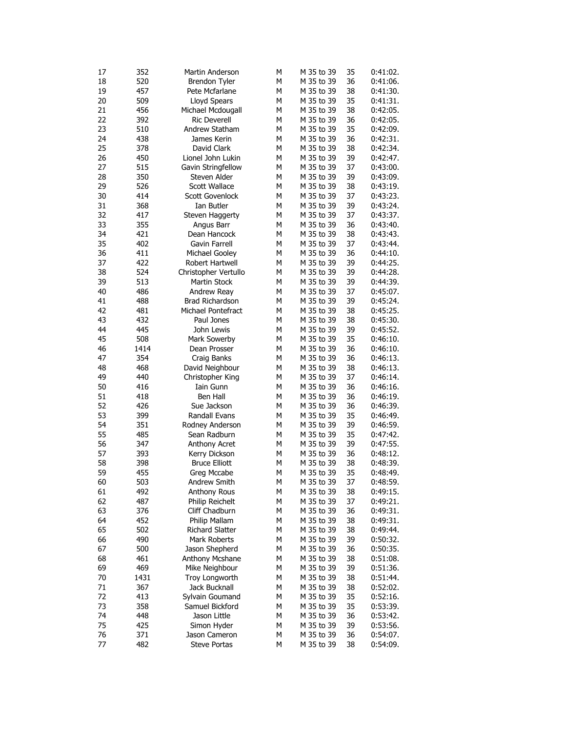| 17 | 352  | Martin Anderson        | М | M 35 to 39 | 35 | 0:41:02. |
|----|------|------------------------|---|------------|----|----------|
| 18 | 520  | <b>Brendon Tyler</b>   | М | M 35 to 39 | 36 | 0:41:06. |
| 19 | 457  | Pete Mcfarlane         | М | M 35 to 39 | 38 | 0:41:30. |
| 20 | 509  | Lloyd Spears           | М | M 35 to 39 | 35 | 0:41:31. |
| 21 | 456  | Michael Mcdougall      | М | M 35 to 39 | 38 | 0:42:05. |
| 22 | 392  | <b>Ric Deverell</b>    | М | M 35 to 39 | 36 | 0:42:05. |
| 23 | 510  | Andrew Statham         | М | M 35 to 39 | 35 | 0:42:09. |
| 24 | 438  | James Kerin            | М | M 35 to 39 | 36 | 0:42:31. |
| 25 | 378  | David Clark            | М | M 35 to 39 | 38 | 0:42:34. |
| 26 | 450  | Lionel John Lukin      | М | M 35 to 39 | 39 | 0:42:47. |
| 27 | 515  | Gavin Stringfellow     | М | M 35 to 39 | 37 | 0:43:00. |
| 28 | 350  | Steven Alder           | М | M 35 to 39 | 39 | 0:43:09. |
| 29 | 526  | Scott Wallace          | Μ | M 35 to 39 | 38 | 0:43:19. |
| 30 | 414  | Scott Govenlock        | М | M 35 to 39 | 37 | 0:43:23. |
| 31 | 368  | Ian Butler             | М | M 35 to 39 | 39 | 0:43:24. |
| 32 | 417  | Steven Haggerty        | М | M 35 to 39 | 37 | 0:43:37. |
| 33 | 355  | Angus Barr             | М | M 35 to 39 | 36 | 0:43:40. |
| 34 | 421  | Dean Hancock           | М | M 35 to 39 | 38 | 0:43:43. |
| 35 | 402  | Gavin Farrell          | М | M 35 to 39 | 37 | 0:43:44. |
| 36 | 411  | Michael Gooley         | Μ | M 35 to 39 | 36 | 0:44:10. |
| 37 | 422  | Robert Hartwell        | М | M 35 to 39 | 39 | 0:44:25. |
| 38 | 524  | Christopher Vertullo   | Μ | M 35 to 39 | 39 | 0:44:28. |
| 39 | 513  | Martin Stock           | М | M 35 to 39 | 39 | 0:44:39. |
| 40 | 486  |                        | М |            |    |          |
|    |      | Andrew Reay            |   | M 35 to 39 | 37 | 0:45:07. |
| 41 | 488  | <b>Brad Richardson</b> | М | M 35 to 39 | 39 | 0:45:24. |
| 42 | 481  | Michael Pontefract     | М | M 35 to 39 | 38 | 0:45:25. |
| 43 | 432  | Paul Jones             | М | M 35 to 39 | 38 | 0:45:30. |
| 44 | 445  | John Lewis             | М | M 35 to 39 | 39 | 0:45:52. |
| 45 | 508  | Mark Sowerby           | М | M 35 to 39 | 35 | 0:46:10. |
| 46 | 1414 | Dean Prosser           | М | M 35 to 39 | 36 | 0:46:10. |
| 47 | 354  | Craig Banks            | Μ | M 35 to 39 | 36 | 0:46:13. |
| 48 | 468  | David Neighbour        | М | M 35 to 39 | 38 | 0:46:13. |
| 49 | 440  | Christopher King       | М | M 35 to 39 | 37 | 0:46:14. |
| 50 | 416  | Iain Gunn              | М | M 35 to 39 | 36 | 0:46:16. |
| 51 | 418  | Ben Hall               | М | M 35 to 39 | 36 | 0:46:19. |
| 52 | 426  | Sue Jackson            | М | M 35 to 39 | 36 | 0:46:39. |
| 53 | 399  | Randall Evans          | М | M 35 to 39 | 35 | 0:46:49. |
| 54 | 351  | Rodney Anderson        | М | M 35 to 39 | 39 | 0:46:59. |
| 55 | 485  | Sean Radburn           | М | M 35 to 39 | 35 | 0:47:42. |
| 56 | 347  | Anthony Acret          | М | M 35 to 39 | 39 | 0:47:55. |
| 57 | 393  | Kerry Dickson          | М | M 35 to 39 | 36 | 0:48:12. |
| 58 | 398  | <b>Bruce Elliott</b>   | М | M 35 to 39 | 38 | 0:48:39. |
| 59 | 455  | Greg Mccabe            | М | M 35 to 39 | 35 | 0:48:49. |
| 60 | 503  | Andrew Smith           | M | M 35 to 39 | 37 | 0:48:59. |
| 61 | 492  | Anthony Rous           | м | M 35 to 39 | 38 | 0:49:15. |
| 62 | 487  | Philip Reichelt        | Μ | M 35 to 39 | 37 | 0:49:21. |
| 63 | 376  | Cliff Chadburn         | М | M 35 to 39 | 36 | 0:49:31. |
| 64 | 452  | Philip Mallam          | м | M 35 to 39 | 38 | 0:49:31. |
| 65 | 502  | <b>Richard Slatter</b> | М | M 35 to 39 | 38 | 0:49:44. |
| 66 | 490  | Mark Roberts           | М | M 35 to 39 | 39 | 0:50:32. |
| 67 | 500  | Jason Shepherd         | М | M 35 to 39 | 36 | 0:50:35. |
| 68 | 461  | Anthony Mcshane        | М | M 35 to 39 | 38 | 0:51:08. |
| 69 | 469  | Mike Neighbour         | М | M 35 to 39 | 39 | 0:51:36. |
| 70 | 1431 | Troy Longworth         | М | M 35 to 39 | 38 | 0:51:44. |
| 71 | 367  | Jack Bucknall          | м | M 35 to 39 | 38 | 0:52:02. |
| 72 | 413  | Sylvain Goumand        | М | M 35 to 39 | 35 | 0:52:16. |
| 73 | 358  | Samuel Bickford        | М | M 35 to 39 | 35 | 0:53:39. |
| 74 | 448  | Jason Little           | М | M 35 to 39 | 36 | 0:53:42. |
| 75 | 425  | Simon Hyder            | М | M 35 to 39 | 39 | 0:53:56. |
| 76 | 371  | Jason Cameron          | М | M 35 to 39 | 36 | 0:54:07. |
| 77 | 482  | <b>Steve Portas</b>    | Μ | M 35 to 39 | 38 | 0:54:09. |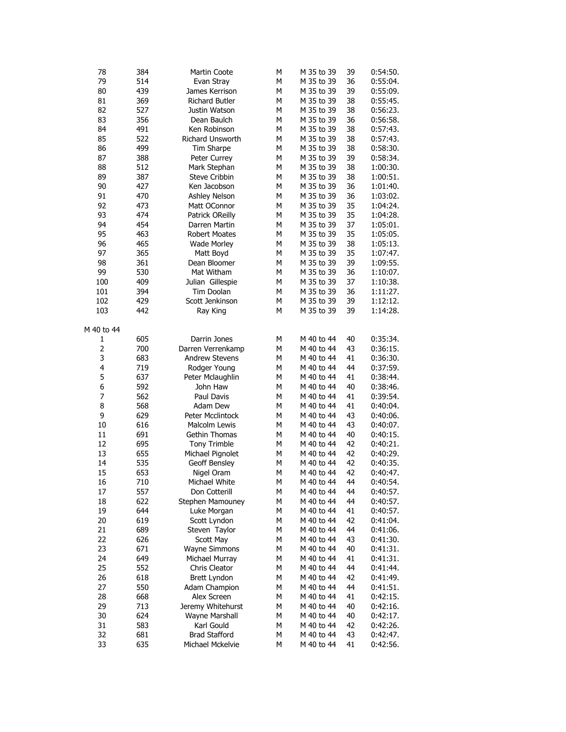| 78             | 384 | Martin Coote          | M | M 35 to 39 | 39 | 0:54:50. |
|----------------|-----|-----------------------|---|------------|----|----------|
| 79             | 514 | Evan Stray            | М | M 35 to 39 | 36 | 0:55:04. |
| 80             | 439 | James Kerrison        | М | M 35 to 39 | 39 | 0:55:09. |
| 81             | 369 | <b>Richard Butler</b> | М | M 35 to 39 | 38 | 0:55:45. |
| 82             | 527 | Justin Watson         | М | M 35 to 39 | 38 | 0:56:23. |
| 83             | 356 | Dean Baulch           | М | M 35 to 39 | 36 | 0:56:58. |
| 84             | 491 | Ken Robinson          | М | M 35 to 39 | 38 | 0:57:43. |
| 85             | 522 | Richard Unsworth      | М | M 35 to 39 | 38 | 0:57:43. |
| 86             | 499 | Tim Sharpe            | М | M 35 to 39 | 38 | 0:58:30. |
| 87             | 388 | Peter Currey          | М | M 35 to 39 | 39 | 0:58:34. |
| 88             | 512 | Mark Stephan          | М | M 35 to 39 | 38 | 1:00:30. |
| 89             | 387 | Steve Cribbin         | М | M 35 to 39 | 38 | 1:00:51. |
| 90             | 427 | Ken Jacobson          | М | M 35 to 39 | 36 | 1:01:40. |
| 91             | 470 | Ashley Nelson         | М | M 35 to 39 | 36 | 1:03:02. |
| 92             | 473 | Matt OConnor          | М | M 35 to 39 | 35 | 1:04:24. |
| 93             | 474 | Patrick OReilly       | М | M 35 to 39 | 35 | 1:04:28. |
| 94             | 454 | Darren Martin         | М | M 35 to 39 | 37 | 1:05:01. |
| 95             | 463 | <b>Robert Moates</b>  | М | M 35 to 39 | 35 | 1:05:05. |
| 96             | 465 | <b>Wade Morley</b>    | М | M 35 to 39 | 38 | 1:05:13. |
| 97             | 365 | Matt Boyd             | М | M 35 to 39 | 35 | 1:07:47. |
| 98             | 361 | Dean Bloomer          | М | M 35 to 39 | 39 | 1:09:55. |
| 99             | 530 | Mat Witham            | М | M 35 to 39 | 36 | 1:10:07. |
| 100            | 409 | Julian Gillespie      | М | M 35 to 39 | 37 | 1:10:38. |
| 101            | 394 | Tim Doolan            | М | M 35 to 39 | 36 | 1:11:27. |
| 102            | 429 | Scott Jenkinson       | М | M 35 to 39 | 39 | 1:12:12. |
| 103            | 442 | Ray King              | М | M 35 to 39 | 39 | 1:14:28. |
|                |     |                       |   |            |    |          |
| M 40 to 44     |     |                       |   |            |    |          |
| $\mathbf{1}$   | 605 | Darrin Jones          | М | M 40 to 44 | 40 | 0:35:34. |
| $\overline{2}$ | 700 | Darren Verrenkamp     | М | M 40 to 44 | 43 | 0:36:15. |
| 3              | 683 | <b>Andrew Stevens</b> | М | M 40 to 44 | 41 | 0:36:30. |
| 4              | 719 | Rodger Young          | М | M 40 to 44 | 44 | 0:37:59. |
| 5              | 637 | Peter Mclaughlin      | М | M 40 to 44 | 41 | 0:38:44. |
| 6              | 592 | John Haw              | М | M 40 to 44 | 40 | 0:38:46. |
| 7              | 562 | Paul Davis            | М | M 40 to 44 | 41 | 0:39:54. |
| 8              | 568 | Adam Dew              | М | M 40 to 44 | 41 | 0:40:04. |
| 9              | 629 | Peter Mcclintock      | М | M 40 to 44 | 43 | 0:40:06. |
| 10             | 616 | Malcolm Lewis         | М | M 40 to 44 | 43 | 0:40:07. |
| 11             | 691 | Gethin Thomas         | М | M 40 to 44 | 40 | 0:40:15. |
| 12             | 695 | Tony Trimble          | М | M 40 to 44 | 42 | 0:40:21. |
| 13             | 655 | Michael Pignolet      | М | M 40 to 44 | 42 | 0:40:29. |
| 14             | 535 | Geoff Bensley         | M | M 40 to 44 | 42 | 0:40:35. |
| 15             | 653 | Nigel Oram            | М | M 40 to 44 | 42 | 0:40:47. |
| 16             | 710 | Michael White         | M | M 40 to 44 | 44 | 0:40:54. |
| 17             | 557 | Don Cotterill         | м | M 40 to 44 | 44 | 0:40:57. |
| 18             | 622 | Stephen Mamouney      | М | M 40 to 44 | 44 | 0:40:57. |
| 19             | 644 | Luke Morgan           | М | M 40 to 44 | 41 | 0:40:57. |
| 20             | 619 | Scott Lyndon          | М | M 40 to 44 | 42 | 0:41:04. |
| 21             | 689 | Steven Taylor         | М | M 40 to 44 | 44 | 0:41:06. |
| 22             | 626 | Scott May             | М | M 40 to 44 | 43 | 0:41:30. |
| 23             | 671 | Wayne Simmons         | М | M 40 to 44 | 40 | 0:41:31. |
| 24             | 649 | Michael Murray        | М | M 40 to 44 | 41 | 0:41:31. |
| 25             | 552 | <b>Chris Cleator</b>  | М | M 40 to 44 | 44 | 0:41:44. |
| 26             | 618 | <b>Brett Lyndon</b>   | М | M 40 to 44 | 42 | 0:41:49. |
| 27             | 550 | Adam Champion         | М | M 40 to 44 | 44 | 0:41:51. |
| 28             | 668 | Alex Screen           | М | M 40 to 44 | 41 | 0:42:15. |
| 29             | 713 | Jeremy Whitehurst     | М | M 40 to 44 | 40 | 0:42:16. |
| 30             | 624 | Wayne Marshall        | м | M 40 to 44 | 40 | 0:42:17. |
| 31             | 583 | Karl Gould            | М | M 40 to 44 | 42 | 0:42:26. |
| 32             | 681 | <b>Brad Stafford</b>  | М | M 40 to 44 | 43 | 0:42:47. |
| 33             | 635 | Michael Mckelvie      | М | M 40 to 44 | 41 | 0:42:56. |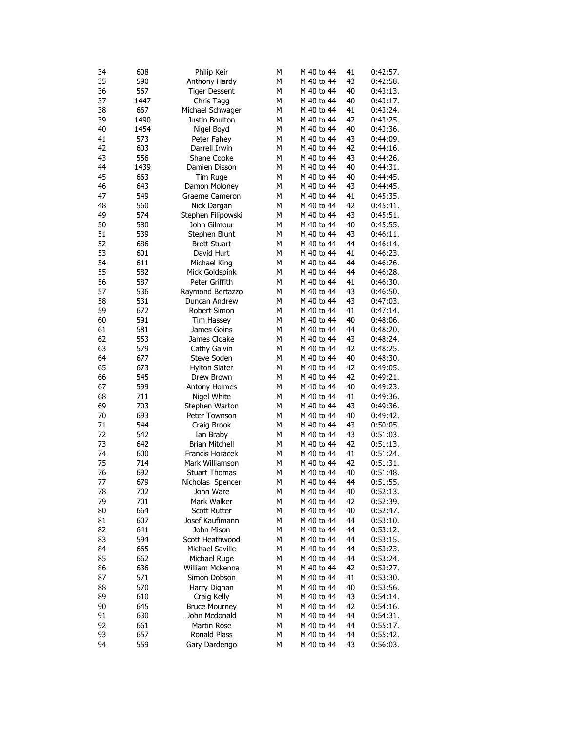| 34 | 608  | Philip Keir           | М | M 40 to 44 | 41 | 0:42:57. |
|----|------|-----------------------|---|------------|----|----------|
| 35 | 590  | Anthony Hardy         | М | M 40 to 44 | 43 | 0:42:58. |
| 36 | 567  | <b>Tiger Dessent</b>  | М | M 40 to 44 | 40 | 0:43:13. |
| 37 | 1447 | Chris Tagg            | М | M 40 to 44 | 40 | 0:43:17. |
| 38 | 667  | Michael Schwager      | М | M 40 to 44 | 41 | 0:43:24. |
| 39 | 1490 | Justin Boulton        | М | M 40 to 44 | 42 | 0:43:25. |
| 40 | 1454 | Nigel Boyd            | М | M 40 to 44 | 40 | 0:43:36. |
| 41 | 573  | Peter Fahey           | М | M 40 to 44 | 43 | 0:44:09. |
| 42 | 603  | Darrell Irwin         | М | M 40 to 44 | 42 | 0:44:16. |
| 43 | 556  | Shane Cooke           | М | M 40 to 44 | 43 | 0:44:26. |
| 44 | 1439 | Damien Disson         | М | M 40 to 44 | 40 | 0:44:31. |
| 45 | 663  | Tim Ruge              | М | M 40 to 44 | 40 | 0:44:45. |
| 46 | 643  | Damon Moloney         | М | M 40 to 44 | 43 | 0:44:45. |
| 47 | 549  | Graeme Cameron        | М | M 40 to 44 | 41 | 0:45:35. |
| 48 | 560  | Nick Dargan           | М | M 40 to 44 | 42 | 0:45:41. |
| 49 | 574  | Stephen Filipowski    | М | M 40 to 44 | 43 | 0:45:51. |
| 50 | 580  | John Gilmour          | М | M 40 to 44 | 40 | 0:45:55. |
| 51 | 539  | Stephen Blunt         | М | M 40 to 44 | 43 | 0:46:11. |
| 52 | 686  | <b>Brett Stuart</b>   | М | M 40 to 44 | 44 | 0:46:14. |
| 53 | 601  | David Hurt            | М | M 40 to 44 | 41 | 0:46:23. |
|    |      |                       |   |            |    | 0:46:26. |
| 54 | 611  | Michael King          | М | M 40 to 44 | 44 |          |
| 55 | 582  | Mick Goldspink        | М | M 40 to 44 | 44 | 0:46:28. |
| 56 | 587  | Peter Griffith        | M | M 40 to 44 | 41 | 0:46:30. |
| 57 | 536  | Raymond Bertazzo      | М | M 40 to 44 | 43 | 0:46:50. |
| 58 | 531  | Duncan Andrew         | М | M 40 to 44 | 43 | 0:47:03. |
| 59 | 672  | Robert Simon          | М | M 40 to 44 | 41 | 0:47:14. |
| 60 | 591  | <b>Tim Hassey</b>     | М | M 40 to 44 | 40 | 0:48:06. |
| 61 | 581  | James Goins           | М | M 40 to 44 | 44 | 0:48:20. |
| 62 | 553  | James Cloake          | М | M 40 to 44 | 43 | 0:48:24. |
| 63 | 579  | Cathy Galvin          | М | M 40 to 44 | 42 | 0:48:25. |
| 64 | 677  | Steve Soden           | М | M 40 to 44 | 40 | 0:48:30. |
| 65 | 673  | <b>Hylton Slater</b>  | М | M 40 to 44 | 42 | 0:49:05. |
| 66 | 545  | Drew Brown            | М | M 40 to 44 | 42 | 0:49:21. |
| 67 | 599  | <b>Antony Holmes</b>  | М | M 40 to 44 | 40 | 0:49:23. |
| 68 | 711  | Nigel White           | М | M 40 to 44 | 41 | 0:49:36. |
| 69 | 703  | Stephen Warton        | М | M 40 to 44 | 43 | 0:49:36. |
| 70 | 693  | Peter Townson         | М | M 40 to 44 | 40 | 0:49:42. |
| 71 | 544  | Craig Brook           | М | M 40 to 44 | 43 | 0:50:05. |
| 72 | 542  | Ian Braby             | М | M 40 to 44 | 43 | 0:51:03. |
| 73 | 642  | <b>Brian Mitchell</b> | М | M 40 to 44 | 42 | 0:51:13. |
| 74 | 600  | Francis Horacek       | М | M 40 to 44 | 41 | 0:51:24. |
| 75 | 714  | Mark Williamson       | М | M 40 to 44 | 42 | 0:51:31. |
| 76 | 692  | <b>Stuart Thomas</b>  | М | M 40 to 44 | 40 | 0:51:48. |
| 77 | 679  | Nicholas Spencer      | M | M 40 to 44 | 44 | 0:51:55. |
| 78 | 702  | John Ware             | м | M 40 to 44 | 40 | 0:52:13. |
| 79 | 701  | Mark Walker           | М | M 40 to 44 | 42 | 0:52:39. |
| 80 | 664  | <b>Scott Rutter</b>   | М | M 40 to 44 | 40 | 0:52:47. |
| 81 | 607  | Josef Kaufimann       | М | M 40 to 44 | 44 | 0:53:10. |
| 82 | 641  | John Mison            | М | M 40 to 44 | 44 | 0:53:12. |
| 83 | 594  | Scott Heathwood       | М | M 40 to 44 | 44 | 0:53:15. |
| 84 | 665  | Michael Saville       | М | M 40 to 44 | 44 | 0:53:23. |
| 85 | 662  | Michael Ruge          | М | M 40 to 44 | 44 | 0:53:24. |
| 86 | 636  | William Mckenna       | М | M 40 to 44 | 42 | 0:53:27. |
| 87 | 571  | Simon Dobson          | М | M 40 to 44 | 41 | 0:53:30. |
| 88 | 570  | Harry Dignan          | М | M 40 to 44 | 40 | 0:53:56. |
| 89 | 610  | Craig Kelly           | М | M 40 to 44 | 43 | 0:54:14. |
| 90 | 645  | <b>Bruce Mourney</b>  | М | M 40 to 44 | 42 | 0:54:16. |
| 91 | 630  | John Mcdonald         | М | M 40 to 44 | 44 | 0:54:31. |
| 92 | 661  | Martin Rose           | М | M 40 to 44 | 44 | 0:55:17. |
| 93 | 657  | Ronald Plass          | М | M 40 to 44 | 44 | 0:55:42. |
| 94 | 559  |                       | М | M 40 to 44 | 43 |          |
|    |      | Gary Dardengo         |   |            |    | 0:56:03. |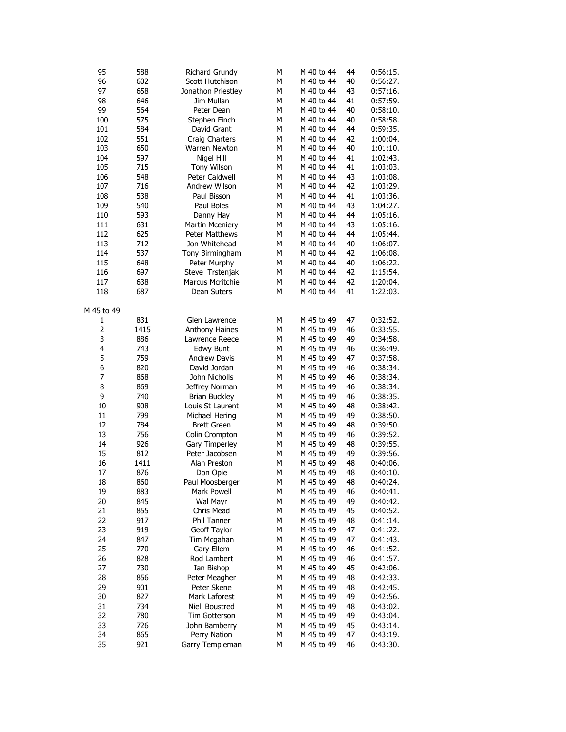| 95           | 588  | Richard Grundy         | М | M 40 to 44 | 44 | 0:56:15. |
|--------------|------|------------------------|---|------------|----|----------|
| 96           | 602  | Scott Hutchison        | М | M 40 to 44 | 40 | 0:56:27. |
| 97           | 658  | Jonathon Priestley     | М | M 40 to 44 | 43 | 0:57:16. |
| 98           | 646  | Jim Mullan             | М | M 40 to 44 | 41 | 0:57:59. |
| 99           | 564  | Peter Dean             | М | M 40 to 44 | 40 | 0:58:10. |
| 100          | 575  | Stephen Finch          | M | M 40 to 44 | 40 | 0:58:58. |
| 101          | 584  | David Grant            | М | M 40 to 44 | 44 | 0:59:35. |
| 102          | 551  | Craig Charters         | М | M 40 to 44 | 42 | 1:00:04. |
| 103          | 650  | Warren Newton          | М | M 40 to 44 | 40 | 1:01:10. |
| 104          | 597  | Nigel Hill             | М | M 40 to 44 | 41 | 1:02:43. |
| 105          | 715  | <b>Tony Wilson</b>     | М | M 40 to 44 | 41 | 1:03:03. |
| 106          | 548  | Peter Caldwell         | М | M 40 to 44 | 43 | 1:03:08. |
| 107          | 716  | Andrew Wilson          | М | M 40 to 44 | 42 | 1:03:29. |
| 108          | 538  | Paul Bisson            | М | M 40 to 44 | 41 | 1:03:36. |
| 109          | 540  | Paul Boles             | М | M 40 to 44 | 43 | 1:04:27. |
| 110          | 593  | Danny Hay              | М | M 40 to 44 | 44 | 1:05:16. |
|              |      |                        | М |            | 43 | 1:05:16. |
| 111          | 631  | <b>Martin Mceniery</b> |   | M 40 to 44 |    |          |
| 112          | 625  | <b>Peter Matthews</b>  | М | M 40 to 44 | 44 | 1:05:44. |
| 113          | 712  | Jon Whitehead          | М | M 40 to 44 | 40 | 1:06:07. |
| 114          | 537  | Tony Birmingham        | М | M 40 to 44 | 42 | 1:06:08. |
| 115          | 648  | Peter Murphy           | М | M 40 to 44 | 40 | 1:06:22. |
| 116          | 697  | Steve Trstenjak        | М | M 40 to 44 | 42 | 1:15:54. |
| 117          | 638  | Marcus Mcritchie       | М | M 40 to 44 | 42 | 1:20:04. |
| 118          | 687  | Dean Suters            | M | M 40 to 44 | 41 | 1:22:03. |
|              |      |                        |   |            |    |          |
| M 45 to 49   |      |                        |   |            |    |          |
| $\mathbf{1}$ | 831  | Glen Lawrence          | М | M 45 to 49 | 47 | 0:32:52. |
| 2            | 1415 | Anthony Haines         | М | M 45 to 49 | 46 | 0:33:55. |
| 3            | 886  | Lawrence Reece         | М | M 45 to 49 | 49 | 0:34:58. |
| 4            | 743  | Edwy Bunt              | М | M 45 to 49 | 46 | 0:36:49. |
| 5            | 759  | <b>Andrew Davis</b>    | М | M 45 to 49 | 47 | 0:37:58. |
| 6            | 820  | David Jordan           | М | M 45 to 49 | 46 | 0:38:34. |
| 7            | 868  | John Nicholls          | М | M 45 to 49 | 46 | 0:38:34. |
| 8            | 869  | Jeffrey Norman         | М | M 45 to 49 | 46 | 0:38:34. |
| 9            | 740  | <b>Brian Buckley</b>   | М | M 45 to 49 | 46 | 0:38:35. |
| 10           | 908  | Louis St Laurent       | М | M 45 to 49 | 48 | 0:38:42. |
| 11           | 799  | Michael Hering         | М | M 45 to 49 | 49 | 0:38:50. |
| 12           | 784  | <b>Brett Green</b>     | М | M 45 to 49 | 48 | 0:39:50. |
| 13           | 756  | Colin Crompton         | М | M 45 to 49 | 46 | 0:39:52. |
| 14           | 926  | Gary Timperley         | М | M 45 to 49 | 48 | 0:39:55. |
| 15           | 812  | Peter Jacobsen         | М | M 45 to 49 | 49 | 0:39:56. |
| 16           | 1411 | Alan Preston           | M | M 45 to 49 | 48 | 0:40:06. |
| 17           | 876  | Don Opie               | М | M 45 to 49 | 48 | 0:40:10. |
| 18           | 860  | Paul Moosberger        | M | M 45 to 49 | 48 | 0:40:24. |
|              |      | Mark Powell            |   |            |    |          |
| 19           | 883  |                        | м | M 45 to 49 | 46 | 0:40:41. |
| 20           | 845  | Wal Mayr               | М | M 45 to 49 | 49 | 0:40:42. |
| 21           | 855  | Chris Mead             | М | M 45 to 49 | 45 | 0:40:52. |
| 22           | 917  | Phil Tanner            | М | M 45 to 49 | 48 | 0:41:14. |
| 23           | 919  | Geoff Taylor           | М | M 45 to 49 | 47 | 0:41:22. |
| 24           | 847  | Tim Mcgahan            | М | M 45 to 49 | 47 | 0:41:43. |
| 25           | 770  | Gary Ellem             | М | M 45 to 49 | 46 | 0:41:52. |
| 26           | 828  | Rod Lambert            | М | M 45 to 49 | 46 | 0:41:57. |
| 27           | 730  | Ian Bishop             | М | M 45 to 49 | 45 | 0:42:06. |
| 28           | 856  | Peter Meagher          | М | M 45 to 49 | 48 | 0:42:33. |
| 29           | 901  | Peter Skene            | М | M 45 to 49 | 48 | 0:42:45. |
| 30           | 827  | Mark Laforest          | М | M 45 to 49 | 49 | 0:42:56. |
| 31           | 734  | Niell Boustred         | М | M 45 to 49 | 48 | 0:43:02. |
| 32           | 780  | <b>Tim Gotterson</b>   | М | M 45 to 49 | 49 | 0:43:04. |
| 33           | 726  | John Bamberry          | М | M 45 to 49 | 45 | 0:43:14. |
| 34           | 865  | Perry Nation           | М | M 45 to 49 | 47 | 0:43:19. |
| 35           | 921  | Garry Templeman        | М | M 45 to 49 | 46 | 0:43:30. |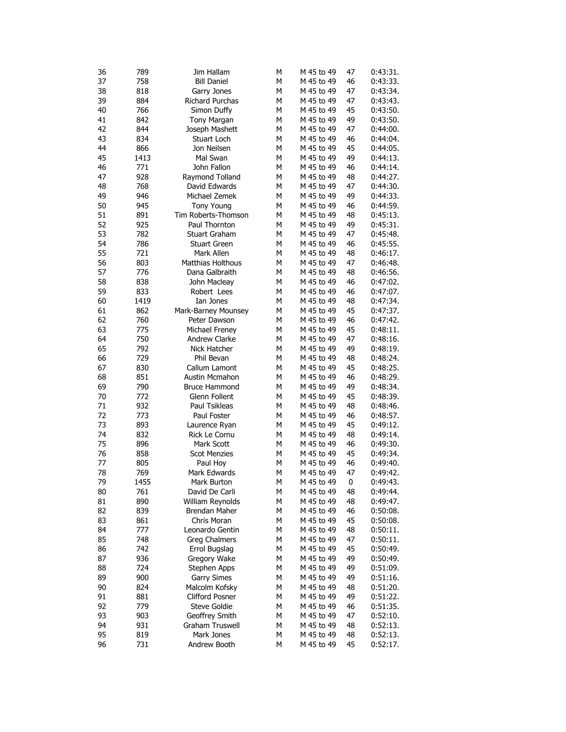| 36 | 789  | Jim Hallam                  | М | M 45 to 49 | 47        | 0:43:31. |
|----|------|-----------------------------|---|------------|-----------|----------|
| 37 | 758  | <b>Bill Daniel</b>          | М | M 45 to 49 | 46        | 0:43:33. |
| 38 | 818  | Garry Jones                 | М | M 45 to 49 | 47        | 0:43:34. |
| 39 | 884  | Richard Purchas             | М | M 45 to 49 | 47        | 0:43:43. |
| 40 | 766  | Simon Duffy                 | М | M 45 to 49 | 45        | 0:43:50. |
| 41 | 842  | Tony Margan                 | М | M 45 to 49 | 49        | 0:43:50. |
| 42 | 844  | Joseph Mashett              | М | M 45 to 49 | 47        | 0:44:00. |
| 43 | 834  | Stuart Loch                 | М | M 45 to 49 | 46        | 0:44:04. |
| 44 | 866  | Jon Neilsen                 | М | M 45 to 49 | 45        | 0:44:05. |
| 45 | 1413 | Mal Swan                    | М | M 45 to 49 | 49        | 0:44:13. |
| 46 | 771  | John Fallon                 | М | M 45 to 49 | 46        | 0:44:14. |
| 47 | 928  | Raymond Tolland             | М | M 45 to 49 | 48        | 0:44:27. |
| 48 | 768  | David Edwards               | Μ | M 45 to 49 | 47        | 0:44:30. |
| 49 | 946  | Michael Zemek               | М | M 45 to 49 | 49        | 0:44:33. |
| 50 | 945  | <b>Tony Young</b>           | М | M 45 to 49 | 46        | 0:44:59. |
| 51 | 891  | Tim Roberts-Thomson         | М | M 45 to 49 | 48        | 0:45:13. |
| 52 | 925  | Paul Thornton               | М | M 45 to 49 | 49        | 0:45:31. |
| 53 | 782  | <b>Stuart Graham</b>        | М | M 45 to 49 | 47        | 0:45:48. |
| 54 | 786  | <b>Stuart Green</b>         | М | M 45 to 49 | 46        | 0:45:55. |
| 55 | 721  | Mark Allen                  | М | M 45 to 49 | 48        | 0:46:17. |
| 56 | 803  | <b>Matthias Holthous</b>    | М | M 45 to 49 | 47        | 0:46:48. |
| 57 | 776  | Dana Galbraith              | М | M 45 to 49 | 48        | 0:46:56. |
| 58 | 838  |                             | М | M 45 to 49 |           | 0:47:02. |
| 59 | 833  | John Macleay<br>Robert Lees | М | M 45 to 49 | 46        | 0:47:07. |
|    |      |                             |   |            | 46        |          |
| 60 | 1419 | Ian Jones                   | М | M 45 to 49 | 48        | 0:47:34. |
| 61 | 862  | Mark-Barney Mounsey         | М | M 45 to 49 | 45        | 0:47:37. |
| 62 | 760  | Peter Dawson                | М | M 45 to 49 | 46        | 0:47:42. |
| 63 | 775  | Michael Freney              | М | M 45 to 49 | 45        | 0:48:11. |
| 64 | 750  | <b>Andrew Clarke</b>        | М | M 45 to 49 | 47        | 0:48:16. |
| 65 | 792  | Nick Hatcher                | М | M 45 to 49 | 49        | 0:48:19. |
| 66 | 729  | Phil Bevan                  | М | M 45 to 49 | 48        | 0:48:24. |
| 67 | 830  | Callum Lamont               | М | M 45 to 49 | 45        | 0:48:25. |
| 68 | 851  | Austin Mcmahon              | М | M 45 to 49 | 46        | 0:48:29. |
| 69 | 790  | <b>Bruce Hammond</b>        | М | M 45 to 49 | 49        | 0:48:34. |
| 70 | 772  | Glenn Follent               | М | M 45 to 49 | 45        | 0:48:39. |
| 71 | 932  | Paul Tsikleas               | М | M 45 to 49 | 48        | 0:48:46. |
| 72 | 773  | Paul Foster                 | М | M 45 to 49 | 46        | 0:48:57. |
| 73 | 893  | Laurence Ryan               | М | M 45 to 49 | 45        | 0:49:12. |
| 74 | 832  | Rick Le Cornu               | М | M 45 to 49 | 48        | 0:49:14. |
| 75 | 896  | Mark Scott                  | М | M 45 to 49 | 46        | 0:49:30. |
| 76 | 858  | <b>Scot Menzies</b>         | М | M 45 to 49 | 45        | 0:49:34. |
| 77 | 805  | Paul Hoy                    | М | M 45 to 49 | 46        | 0:49:40. |
| 78 | 769  | Mark Edwards                | М | M 45 to 49 | 47        | 0:49:42. |
| 79 | 1455 | Mark Burton                 | M | M 45 to 49 | $\pmb{0}$ | 0:49:43. |
| 80 | 761  | David De Carli              | м | M 45 to 49 | 48        | 0:49:44. |
| 81 | 890  | William Reynolds            | Μ | M 45 to 49 | 48        | 0:49:47. |
| 82 | 839  | Brendan Maher               | М | M 45 to 49 | 46        | 0:50:08. |
| 83 | 861  | Chris Moran                 | м | M 45 to 49 | 45        | 0:50:08. |
| 84 | 777  | Leonardo Gentin             | М | M 45 to 49 | 48        | 0:50:11. |
| 85 | 748  | Greg Chalmers               | м | M 45 to 49 | 47        | 0:50:11. |
| 86 | 742  | Errol Bugslag               | М | M 45 to 49 | 45        | 0:50:49. |
| 87 | 936  | Gregory Wake                | М | M 45 to 49 | 49        | 0:50:49. |
| 88 | 724  | Stephen Apps                | М | M 45 to 49 | 49        | 0:51:09. |
| 89 | 900  | <b>Garry Simes</b>          | М | M 45 to 49 | 49        | 0:51:16. |
| 90 | 824  | Malcolm Kofsky              | м | M 45 to 49 | 48        | 0:51:20. |
| 91 | 881  | Clifford Posner             | М | M 45 to 49 | 49        | 0:51:22. |
| 92 | 779  | <b>Steve Goldie</b>         | М | M 45 to 49 | 46        | 0:51:35. |
| 93 | 903  | Geoffrey Smith              | М | M 45 to 49 | 47        | 0:52:10. |
| 94 | 931  | Graham Truswell             | М | M 45 to 49 | 48        | 0:52:13. |
| 95 | 819  | Mark Jones                  | М | M 45 to 49 | 48        | 0:52:13. |
| 96 | 731  | Andrew Booth                | м | M 45 to 49 | 45        | 0:52:17. |
|    |      |                             |   |            |           |          |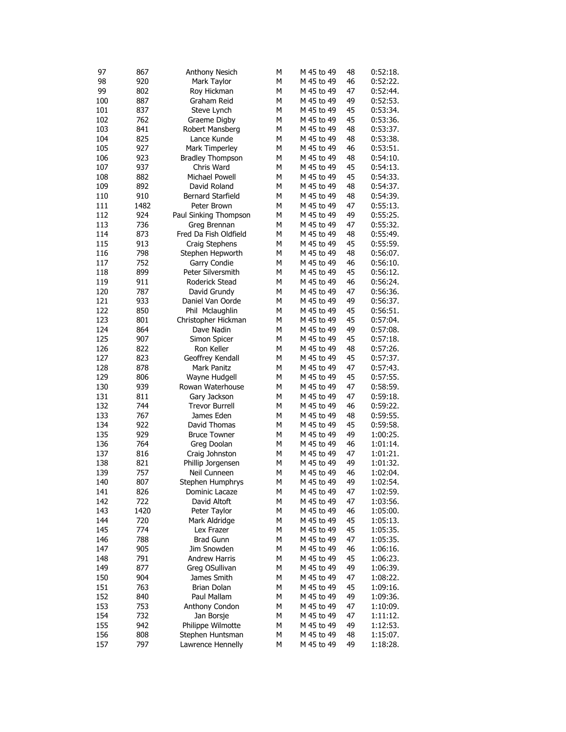| 97  | 867        | Anthony Nesich                 | М      | M 45 to 49               | 48       | 0:52:18.             |
|-----|------------|--------------------------------|--------|--------------------------|----------|----------------------|
| 98  | 920        | Mark Taylor                    | М      | M 45 to 49               | 46       | 0:52:22.             |
| 99  | 802        | Roy Hickman                    | М      | M 45 to 49               | 47       | 0:52:44.             |
| 100 | 887        | Graham Reid                    | М      | M 45 to 49               | 49       | 0:52:53.             |
| 101 | 837        | Steve Lynch                    | М      | M 45 to 49               | 45       | 0:53:34.             |
| 102 | 762        | Graeme Digby                   | М      | M 45 to 49               | 45       | 0:53:36.             |
| 103 | 841        | Robert Mansberg                | М      | M 45 to 49               | 48       | 0:53:37.             |
| 104 | 825        | Lance Kunde                    | М      | M 45 to 49               | 48       | 0:53:38.             |
| 105 | 927        | Mark Timperley                 | М      | M 45 to 49               | 46       | 0:53:51.             |
| 106 | 923        | <b>Bradley Thompson</b>        | М      | M 45 to 49               | 48       | 0:54:10.             |
| 107 | 937        | Chris Ward                     | М      | M 45 to 49               | 45       | 0:54:13.             |
| 108 | 882        | Michael Powell                 | М      | M 45 to 49               | 45       | 0:54:33.             |
| 109 | 892        | David Roland                   | М      | M 45 to 49               | 48       | 0:54:37.             |
| 110 | 910        | <b>Bernard Starfield</b>       | М      | M 45 to 49               | 48       | 0:54:39.             |
| 111 | 1482       | Peter Brown                    | М      | M 45 to 49               | 47       | 0:55:13.             |
| 112 | 924        | Paul Sinking Thompson          | М      | M 45 to 49               | 49       | 0:55:25.             |
| 113 | 736        | Greg Brennan                   | М      | M 45 to 49               | 47       | 0:55:32.             |
| 114 | 873        | Fred Da Fish Oldfield          | М      | M 45 to 49               | 48       | 0:55:49.             |
| 115 | 913        | Craig Stephens                 | М      | M 45 to 49               | 45       | 0:55:59.             |
| 116 | 798        | Stephen Hepworth               | М      | M 45 to 49               | 48       | 0:56:07.             |
| 117 | 752        | Garry Condie                   | М      | M 45 to 49               | 46       | 0:56:10.             |
| 118 | 899        | Peter Silversmith              | М      | M 45 to 49               | 45       | 0:56:12.             |
| 119 | 911        | Roderick Stead                 | М      | M 45 to 49               | 46       | 0:56:24.             |
| 120 | 787        | David Grundy                   | М      | M 45 to 49               | 47       | 0:56:36.             |
| 121 | 933        | Daniel Van Oorde               | М      | M 45 to 49               | 49       | 0:56:37.             |
| 122 | 850        | Phil Mclaughlin                | М      | M 45 to 49               | 45       | 0:56:51.             |
| 123 | 801        | Christopher Hickman            | М      | M 45 to 49               | 45       | 0:57:04.             |
| 124 | 864        | Dave Nadin                     | М      | M 45 to 49               | 49       | 0:57:08.             |
| 125 | 907        | Simon Spicer                   | М      | M 45 to 49               | 45       | 0:57:18.             |
| 126 | 822        | Ron Keller                     | М      | M 45 to 49               | 48       | 0:57:26.             |
| 127 | 823        | Geoffrey Kendall               | М      | M 45 to 49               | 45       | 0:57:37.             |
| 128 | 878        | <b>Mark Panitz</b>             | М      | M 45 to 49               | 47       | 0:57:43.             |
| 129 | 806        | Wayne Hudgell                  | М      | M 45 to 49               | 45       | 0:57:55.             |
| 130 | 939        | Rowan Waterhouse               | М      | M 45 to 49               | 47       | 0:58:59.             |
| 131 | 811        | Gary Jackson                   | М      | M 45 to 49               | 47       | 0:59:18.             |
| 132 | 744        | <b>Trevor Burrell</b>          | М      | M 45 to 49               | 46       | 0:59:22.             |
| 133 | 767        | James Eden                     | М      | M 45 to 49               | 48       | 0:59:55.             |
| 134 | 922        | David Thomas                   | М      | M 45 to 49               | 45       | 0:59:58.             |
| 135 | 929        | <b>Bruce Towner</b>            | М      | M 45 to 49               |          |                      |
| 136 | 764        |                                | М      | M 45 to 49               | 49<br>46 | 1:00:25.<br>1:01:14. |
| 137 |            | Greg Doolan                    | М      | M 45 to 49               | 47       |                      |
|     | 816        | Craig Johnston                 |        |                          |          | 1:01:21.             |
| 138 | 821<br>757 | Phillip Jorgensen              | М<br>М | M 45 to 49               | 49<br>46 | 1:01:32.             |
| 139 |            | Neil Cunneen                   | M      | M 45 to 49<br>M 45 to 49 |          | 1:02:04.             |
| 140 | 807        | Stephen Humphrys               |        |                          | 49       | 1:02:54.             |
| 141 | 826        | Dominic Lacaze<br>David Altoft | м      | M 45 to 49               | 47       | 1:02:59.             |
| 142 | 722        |                                | М      | M 45 to 49               | 47       | 1:03:56.             |
| 143 | 1420       | Peter Taylor                   | М      | M 45 to 49               | 46       | 1:05:00.             |
| 144 | 720        | Mark Aldridge                  | М      | M 45 to 49               | 45       | 1:05:13.             |
| 145 | 774        | Lex Frazer                     | М      | M 45 to 49               | 45       | 1:05:35.             |
| 146 | 788        | <b>Brad Gunn</b>               | М      | M 45 to 49               | 47       | 1:05:35.             |
| 147 | 905        | Jim Snowden                    | М      | M 45 to 49               | 46       | 1:06:16.             |
| 148 | 791        | <b>Andrew Harris</b>           | М      | M 45 to 49               | 45       | 1:06:23.             |
| 149 | 877        | Greg OSullivan                 | М      | M 45 to 49               | 49       | 1:06:39.             |
| 150 | 904        | James Smith                    | М      | M 45 to 49               | 47       | 1:08:22.             |
| 151 | 763        | <b>Brian Dolan</b>             | М      | M 45 to 49               | 45       | 1:09:16.             |
| 152 | 840        | Paul Mallam                    | М      | M 45 to 49               | 49       | 1:09:36.             |
| 153 | 753        | Anthony Condon                 | М      | M 45 to 49               | 47       | 1:10:09.             |
| 154 | 732        | Jan Borsje                     | М      | M 45 to 49               | 47       | 1:11:12.             |
| 155 | 942        | Philippe Wilmotte              | М      | M 45 to 49               | 49       | 1:12:53.             |
| 156 | 808        | Stephen Huntsman               | М      | M 45 to 49               | 48       | 1:15:07.             |
| 157 | 797        | Lawrence Hennelly              | М      | M 45 to 49               | 49       | 1:18:28.             |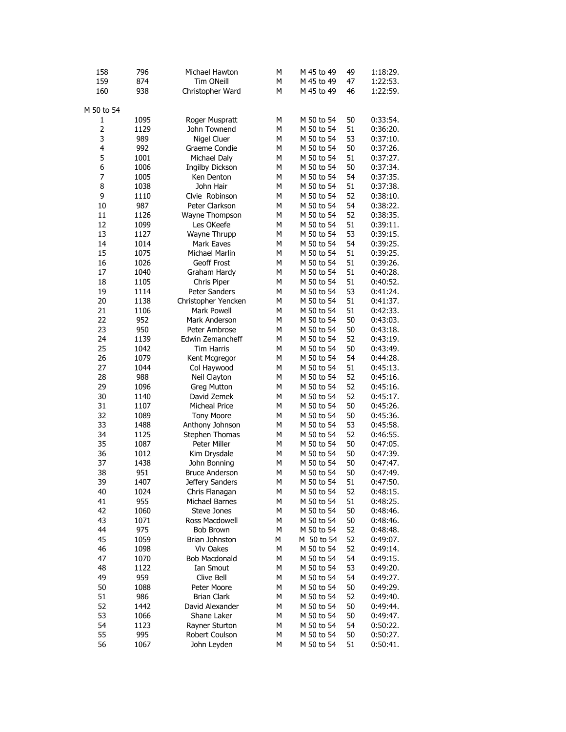| 158            | 796  | Michael Hawton        | М | M 45 to 49 | 49 | 1:18:29. |
|----------------|------|-----------------------|---|------------|----|----------|
| 159            | 874  | <b>Tim ONeill</b>     | М | M 45 to 49 | 47 | 1:22:53. |
| 160            | 938  | Christopher Ward      | М | M 45 to 49 | 46 | 1:22:59. |
|                |      |                       |   |            |    |          |
| M 50 to 54     |      |                       |   |            |    |          |
| 1              | 1095 | Roger Muspratt        | М | M 50 to 54 | 50 | 0:33:54. |
| $\overline{2}$ | 1129 | John Townend          | М | M 50 to 54 | 51 | 0:36:20. |
| 3              | 989  | Nigel Cluer           | М | M 50 to 54 | 53 | 0:37:10. |
| 4              | 992  | Graeme Condie         | М | M 50 to 54 | 50 | 0:37:26. |
| 5              | 1001 | Michael Daly          | М | M 50 to 54 | 51 | 0:37:27. |
| 6              | 1006 | Ingilby Dickson       | М | M 50 to 54 | 50 | 0:37:34. |
| $\overline{7}$ | 1005 | Ken Denton            | М | M 50 to 54 | 54 | 0:37:35. |
| 8              | 1038 | John Hair             | М | M 50 to 54 | 51 | 0:37:38. |
| 9              | 1110 | Clvie Robinson        | М | M 50 to 54 | 52 | 0:38:10. |
| 10             | 987  | Peter Clarkson        | М | M 50 to 54 | 54 | 0:38:22. |
| 11             | 1126 | Wayne Thompson        | М | M 50 to 54 | 52 | 0:38:35. |
| 12             | 1099 | Les OKeefe            | М | M 50 to 54 | 51 | 0:39:11. |
| 13             | 1127 | Wayne Thrupp          | М | M 50 to 54 | 53 | 0:39:15. |
| 14             | 1014 | Mark Eaves            | М | M 50 to 54 | 54 | 0:39:25. |
| 15             | 1075 | Michael Marlin        | М | M 50 to 54 | 51 | 0:39:25. |
| 16             | 1026 | Geoff Frost           | М | M 50 to 54 | 51 | 0:39:26. |
| 17             | 1040 | Graham Hardy          | М | M 50 to 54 | 51 | 0:40:28. |
| 18             | 1105 | Chris Piper           | М | M 50 to 54 | 51 | 0:40:52. |
| 19             | 1114 | Peter Sanders         | М | M 50 to 54 | 53 | 0:41:24. |
| 20             | 1138 | Christopher Yencken   | М | M 50 to 54 | 51 | 0:41:37. |
| 21             | 1106 | <b>Mark Powell</b>    | М | M 50 to 54 | 51 | 0:42:33. |
| 22             | 952  | Mark Anderson         | М | M 50 to 54 | 50 | 0:43:03. |
| 23             |      | Peter Ambrose         | М |            |    | 0:43:18. |
| 24             | 950  |                       |   | M 50 to 54 | 50 |          |
|                | 1139 | Edwin Zemancheff      | М | M 50 to 54 | 52 | 0:43:19. |
| 25             | 1042 | <b>Tim Harris</b>     | М | M 50 to 54 | 50 | 0:43:49. |
| 26             | 1079 | Kent Mcgregor         | М | M 50 to 54 | 54 | 0:44:28. |
| 27             | 1044 | Col Haywood           | М | M 50 to 54 | 51 | 0:45:13. |
| 28             | 988  | Neil Clayton          | М | M 50 to 54 | 52 | 0:45:16. |
| 29             | 1096 | <b>Greg Mutton</b>    | М | M 50 to 54 | 52 | 0:45:16. |
| 30             | 1140 | David Zemek           | М | M 50 to 54 | 52 | 0:45:17. |
| 31             | 1107 | <b>Micheal Price</b>  | М | M 50 to 54 | 50 | 0:45:26. |
| 32             | 1089 | <b>Tony Moore</b>     | М | M 50 to 54 | 50 | 0:45:36. |
| 33             | 1488 | Anthony Johnson       | М | M 50 to 54 | 53 | 0:45:58. |
| 34             | 1125 | Stephen Thomas        | М | M 50 to 54 | 52 | 0:46:55. |
| 35             | 1087 | Peter Miller          | М | M 50 to 54 | 50 | 0:47:05. |
| 36             | 1012 | Kim Drysdale          | М | M 50 to 54 | 50 | 0:47:39. |
| 37             | 1438 | John Bonning          | М | M 50 to 54 | 50 | 0:47:47. |
| 38             | 951  | <b>Bruce Anderson</b> | М | M 50 to 54 | 50 | 0:47:49. |
| 39             | 1407 | Jeffery Sanders       | M | M 50 to 54 | 51 | 0:47:50. |
| 40             | 1024 | Chris Flanagan        | м | M 50 to 54 | 52 | 0:48:15. |
| 41             | 955  | Michael Barnes        | М | M 50 to 54 | 51 | 0:48:25. |
| 42             | 1060 | <b>Steve Jones</b>    | М | M 50 to 54 | 50 | 0:48:46. |
| 43             | 1071 | Ross Macdowell        | М | M 50 to 54 | 50 | 0:48:46. |
| 44             | 975  | <b>Bob Brown</b>      | М | M 50 to 54 | 52 | 0:48:48. |
| 45             | 1059 | Brian Johnston        | М | M 50 to 54 | 52 | 0:49:07. |
| 46             | 1098 | <b>Viv Oakes</b>      | М | M 50 to 54 | 52 | 0:49:14. |
| 47             | 1070 | <b>Bob Macdonald</b>  | М | M 50 to 54 | 54 | 0:49:15. |
| 48             | 1122 | Ian Smout             | М | M 50 to 54 | 53 | 0:49:20. |
| 49             | 959  | Clive Bell            | М | M 50 to 54 | 54 | 0:49:27. |
| 50             | 1088 | Peter Moore           | М | M 50 to 54 | 50 | 0:49:29. |
| 51             | 986  | <b>Brian Clark</b>    | М | M 50 to 54 | 52 | 0:49:40. |
| 52             | 1442 | David Alexander       | М | M 50 to 54 | 50 | 0:49:44. |
| 53             | 1066 | Shane Laker           | М | M 50 to 54 | 50 | 0:49:47. |
| 54             | 1123 | Rayner Sturton        | М | M 50 to 54 | 54 | 0:50:22. |
| 55             | 995  | Robert Coulson        | М | M 50 to 54 | 50 | 0:50:27. |
| 56             | 1067 | John Leyden           | М | M 50 to 54 | 51 | 0:50:41. |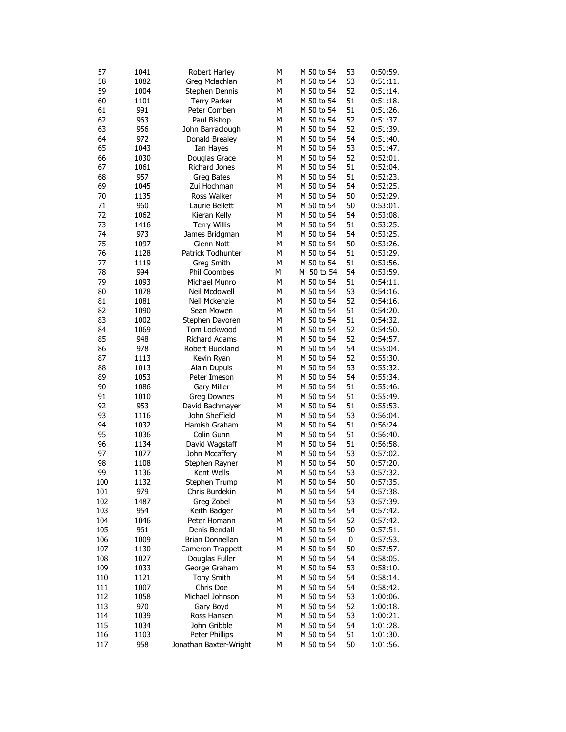| 57  | 1041         | <b>Robert Harley</b>   | М | M 50 to 54 | 53 | 0:50:59.             |
|-----|--------------|------------------------|---|------------|----|----------------------|
| 58  | 1082         | Greg Mclachlan         | М | M 50 to 54 | 53 | 0:51:11.             |
| 59  | 1004         | Stephen Dennis         | М | M 50 to 54 | 52 | 0:51:14.             |
| 60  | 1101         | <b>Terry Parker</b>    | М | M 50 to 54 | 51 | 0:51:18.             |
| 61  | 991          | Peter Comben           | М | M 50 to 54 | 51 | 0:51:26.             |
| 62  | 963          | Paul Bishop            | М | M 50 to 54 | 52 | 0:51:37.             |
| 63  | 956          | John Barraclough       | М | M 50 to 54 | 52 | 0:51:39.             |
| 64  | 972          | Donald Brealey         | М | M 50 to 54 | 54 | 0:51:40.             |
| 65  | 1043         | Ian Hayes              | М | M 50 to 54 | 53 | 0:51:47.             |
| 66  | 1030         | Douglas Grace          | М | M 50 to 54 | 52 | 0:52:01.             |
| 67  | 1061         | <b>Richard Jones</b>   | М | M 50 to 54 | 51 | 0:52:04.             |
| 68  | 957          | <b>Greg Bates</b>      | M | M 50 to 54 | 51 | 0:52:23.             |
| 69  | 1045         | Zui Hochman            | М | M 50 to 54 | 54 | 0:52:25.             |
| 70  | 1135         | Ross Walker            | М | M 50 to 54 | 50 | 0:52:29.             |
| 71  | 960          | Laurie Bellett         | М | M 50 to 54 | 50 | 0:53:01.             |
| 72  | 1062         | Kieran Kelly           | М | M 50 to 54 | 54 | 0:53:08.             |
| 73  | 1416         | <b>Terry Willis</b>    | М | M 50 to 54 | 51 | 0:53:25.             |
| 74  | 973          | James Bridgman         | М | M 50 to 54 | 54 | 0:53:25.             |
| 75  | 1097         | Glenn Nott             | М | M 50 to 54 | 50 | 0:53:26.             |
| 76  | 1128         | Patrick Todhunter      | М | M 50 to 54 | 51 | 0:53:29.             |
| 77  | 1119         | Greg Smith             | M | M 50 to 54 | 51 | 0:53:56.             |
| 78  | 994          | Phil Coombes           | М | M 50 to 54 | 54 | 0:53:59.             |
| 79  | 1093         | Michael Munro          | М | M 50 to 54 | 51 | 0:54:11.             |
| 80  | 1078         | Neil Mcdowell          | М | M 50 to 54 | 53 | 0:54:16.             |
| 81  | 1081         | Neil Mckenzie          | М | M 50 to 54 | 52 | 0:54:16.             |
| 82  | 1090         | Sean Mowen             | М | M 50 to 54 | 51 | 0:54:20.             |
| 83  | 1002         | Stephen Davoren        | М | M 50 to 54 | 51 | 0:54:32.             |
| 84  | 1069         | Tom Lockwood           | М | M 50 to 54 | 52 | 0:54:50.             |
| 85  | 948          | <b>Richard Adams</b>   | М | M 50 to 54 | 52 | 0:54:57.             |
| 86  | 978          | Robert Buckland        | М | M 50 to 54 | 54 | 0:55:04.             |
| 87  | 1113         | Kevin Ryan             | М | M 50 to 54 | 52 | 0:55:30.             |
| 88  | 1013         | Alain Dupuis           | М | M 50 to 54 | 53 | 0:55:32.             |
| 89  | 1053         | Peter Imeson           | М | M 50 to 54 | 54 | 0:55:34.             |
| 90  | 1086         | <b>Gary Miller</b>     | М | M 50 to 54 | 51 | 0:55:46.             |
| 91  | 1010         | <b>Greg Downes</b>     | М | M 50 to 54 | 51 | 0:55:49.             |
| 92  | 953          | David Bachmayer        | М | M 50 to 54 | 51 | 0:55:53.             |
| 93  | 1116         | John Sheffield         | M | M 50 to 54 | 53 | 0:56:04.             |
| 94  | 1032         | Hamish Graham          | М | M 50 to 54 | 51 | 0:56:24.             |
| 95  | 1036         | Colin Gunn             | М | M 50 to 54 | 51 | 0:56:40.             |
| 96  | 1134         | David Wagstaff         | М | M 50 to 54 | 51 | 0:56:58.             |
| 97  | 1077         | John Mccaffery         | М | M 50 to 54 | 53 | 0:57:02.             |
| 98  |              | Stephen Rayner         | М | M 50 to 54 | 50 |                      |
| 99  | 1108<br>1136 | Kent Wells             | М | M 50 to 54 | 53 | 0:57:20.<br>0:57:32. |
| 100 | 1132         |                        | М | M 50 to 54 | 50 | 0:57:35.             |
|     | 979          | Stephen Trump          |   |            |    | 0:57:38.             |
| 101 |              | Chris Burdekin         | М | M 50 to 54 | 54 |                      |
| 102 | 1487         | Greg Zobel             | М | M 50 to 54 | 53 | 0:57:39.             |
| 103 | 954          | Keith Badger           | М | M 50 to 54 | 54 | 0:57:42.             |
| 104 | 1046         | Peter Homann           | М | M 50 to 54 | 52 | 0:57:42.             |
| 105 | 961          | Denis Bendall          | М | M 50 to 54 | 50 | 0:57:51.             |
| 106 | 1009         | Brian Donnellan        | М | M 50 to 54 | 0  | 0:57:53.             |
| 107 | 1130         | Cameron Trappett       | М | M 50 to 54 | 50 | 0:57:57.             |
| 108 | 1027         | Douglas Fuller         | М | M 50 to 54 | 54 | 0:58:05.             |
| 109 | 1033         | George Graham          | М | M 50 to 54 | 53 | 0:58:10.             |
| 110 | 1121         | <b>Tony Smith</b>      | М | M 50 to 54 | 54 | 0:58:14.             |
| 111 | 1007         | Chris Doe              | М | M 50 to 54 | 54 | 0:58:42.             |
| 112 | 1058         | Michael Johnson        | М | M 50 to 54 | 53 | 1:00:06.             |
| 113 | 970          | Gary Boyd              | М | M 50 to 54 | 52 | 1:00:18.             |
| 114 | 1039         | Ross Hansen            | м | M 50 to 54 | 53 | 1:00:21.             |
| 115 | 1034         | John Gribble           | М | M 50 to 54 | 54 | 1:01:28.             |
| 116 | 1103         | Peter Phillips         | М | M 50 to 54 | 51 | 1:01:30.             |
| 117 | 958          | Jonathan Baxter-Wright | м | M 50 to 54 | 50 | 1:01:56.             |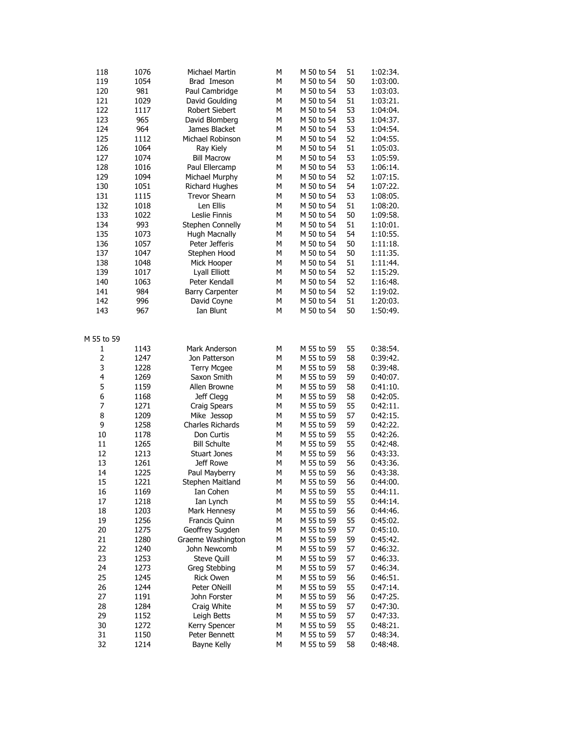| 118        | 1076 | Michael Martin         | М | M 50 to 54 | 51 | 1:02:34. |
|------------|------|------------------------|---|------------|----|----------|
| 119        | 1054 | Brad Imeson            | М | M 50 to 54 | 50 | 1:03:00. |
| 120        | 981  | Paul Cambridge         | М | M 50 to 54 | 53 | 1:03:03. |
| 121        | 1029 | David Goulding         | М | M 50 to 54 | 51 | 1:03:21. |
| 122        | 1117 | Robert Siebert         | М | M 50 to 54 | 53 | 1:04:04. |
| 123        | 965  | David Blomberg         | М | M 50 to 54 | 53 | 1:04:37. |
| 124        | 964  | James Blacket          | М | M 50 to 54 | 53 | 1:04:54. |
| 125        | 1112 | Michael Robinson       | М | M 50 to 54 | 52 | 1:04:55. |
| 126        | 1064 | Ray Kiely              | М | M 50 to 54 | 51 | 1:05:03. |
| 127        | 1074 | <b>Bill Macrow</b>     | М | M 50 to 54 | 53 | 1:05:59. |
| 128        | 1016 | Paul Ellercamp         | М | M 50 to 54 | 53 | 1:06:14. |
| 129        | 1094 | Michael Murphy         | М | M 50 to 54 | 52 | 1:07:15. |
| 130        | 1051 | Richard Hughes         | М | M 50 to 54 | 54 | 1:07:22. |
| 131        | 1115 | <b>Trevor Shearn</b>   | М | M 50 to 54 | 53 | 1:08:05. |
| 132        | 1018 | Len Ellis              | М | M 50 to 54 | 51 | 1:08:20. |
| 133        | 1022 | Leslie Finnis          | М | M 50 to 54 | 50 | 1:09:58. |
| 134        | 993  | Stephen Connelly       | Μ | M 50 to 54 | 51 | 1:10:01. |
| 135        | 1073 | <b>Hugh Macnally</b>   | М | M 50 to 54 | 54 | 1:10:55. |
| 136        | 1057 | Peter Jefferis         | М | M 50 to 54 | 50 | 1:11:18. |
| 137        | 1047 | Stephen Hood           | М | M 50 to 54 | 50 | 1:11:35. |
|            |      |                        |   |            |    |          |
| 138        | 1048 | Mick Hooper            | М | M 50 to 54 | 51 | 1:11:44. |
| 139        | 1017 | Lyall Elliott          | М | M 50 to 54 | 52 | 1:15:29. |
| 140        | 1063 | Peter Kendall          | М | M 50 to 54 | 52 | 1:16:48. |
| 141        | 984  | <b>Barry Carpenter</b> | М | M 50 to 54 | 52 | 1:19:02. |
| 142        | 996  | David Coyne            | М | M 50 to 54 | 51 | 1:20:03. |
| 143        | 967  | Ian Blunt              | М | M 50 to 54 | 50 | 1:50:49. |
|            |      |                        |   |            |    |          |
|            |      |                        |   |            |    |          |
| M 55 to 59 |      |                        |   |            |    |          |
| 1          | 1143 | Mark Anderson          | М | M 55 to 59 | 55 | 0:38:54. |
| 2          | 1247 | Jon Patterson          | М | M 55 to 59 | 58 | 0:39:42. |
| 3          | 1228 | <b>Terry Mcgee</b>     | М | M 55 to 59 | 58 | 0:39:48. |
| 4          | 1269 | Saxon Smith            | М | M 55 to 59 | 59 | 0:40:07. |
| 5          | 1159 | Allen Browne           | М | M 55 to 59 | 58 | 0:41:10. |
| 6          | 1168 | Jeff Clegg             | М | M 55 to 59 | 58 | 0:42:05. |
| 7          | 1271 | Craig Spears           | М | M 55 to 59 | 55 | 0:42:11. |
| 8          | 1209 | Mike Jessop            | М | M 55 to 59 | 57 | 0:42:15. |
| 9          | 1258 | Charles Richards       | М | M 55 to 59 | 59 | 0:42:22. |
| 10         | 1178 | Don Curtis             | М | M 55 to 59 | 55 | 0:42:26. |
| 11         | 1265 | <b>Bill Schulte</b>    | М | M 55 to 59 | 55 | 0:42:48. |
| 12         | 1213 | Stuart Jones           | М | M 55 to 59 | 56 | 0:43:33. |
| 13         | 1261 | Jeff Rowe              | М | M 55 to 59 | 56 | 0:43:36. |
| 14         | 1225 | Paul Mayberry          | М | M 55 to 59 | 56 | 0:43:38. |
| 15         | 1221 | Stephen Maitland       | М | M 55 to 59 | 56 | 0:44:00. |
| 16         | 1169 | Ian Cohen              | м | M 55 to 59 | 55 | 0:44:11. |
| 17         | 1218 | Ian Lynch              | Μ | M 55 to 59 | 55 | 0:44:14. |
| 18         | 1203 | Mark Hennesy           | Μ | M 55 to 59 | 56 | 0:44:46. |
| 19         | 1256 | Francis Quinn          | М | M 55 to 59 | 55 | 0:45:02. |
| 20         | 1275 | Geoffrey Sugden        | м | M 55 to 59 | 57 | 0:45:10. |
| 21         | 1280 | Graeme Washington      | Μ | M 55 to 59 | 59 | 0:45:42. |
| 22         | 1240 | John Newcomb           | Μ | M 55 to 59 | 57 | 0:46:32. |
| 23         | 1253 | Steve Quill            | м | M 55 to 59 | 57 | 0:46:33. |
| 24         | 1273 | Greg Stebbing          | Μ | M 55 to 59 | 57 | 0:46:34. |
| 25         | 1245 | Rick Owen              | Μ | M 55 to 59 | 56 | 0:46:51. |
| 26         | 1244 | Peter ONeill           | М | M 55 to 59 | 55 | 0:47:14. |
| 27         | 1191 | John Forster           | Μ | M 55 to 59 | 56 | 0:47:25. |
| 28         | 1284 | Craig White            | Μ | M 55 to 59 | 57 | 0:47:30. |
| 29         | 1152 | Leigh Betts            | Μ | M 55 to 59 | 57 | 0:47:33. |
| 30         | 1272 | Kerry Spencer          | м | M 55 to 59 | 55 | 0:48:21. |
| 31         | 1150 | Peter Bennett          | Μ | M 55 to 59 | 57 | 0:48:34. |
| 32         | 1214 | Bayne Kelly            | Μ | M 55 to 59 | 58 | 0:48:48. |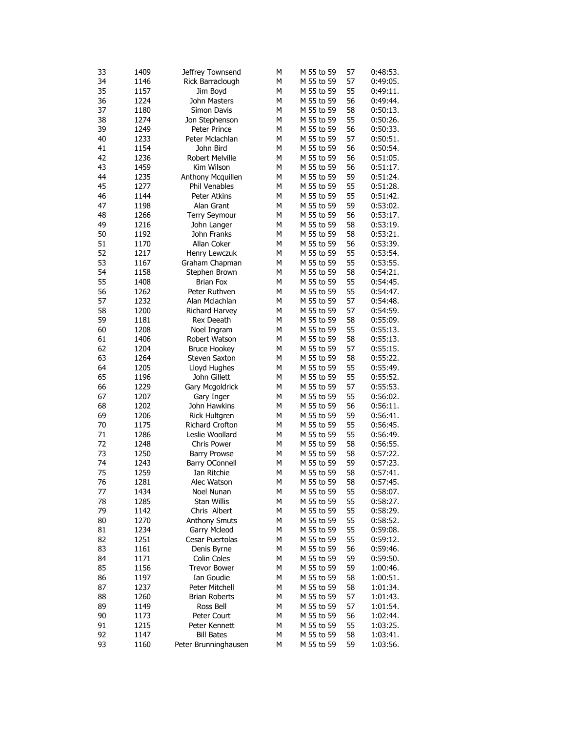| 33       | 1409         | Jeffrey Townsend                     | м      | M 55 to 59               | 57       | 0:48:53.             |
|----------|--------------|--------------------------------------|--------|--------------------------|----------|----------------------|
| 34       | 1146         | Rick Barraclough                     | м      | M 55 to 59               | 57       | 0:49:05.             |
| 35       | 1157         | Jim Boyd                             | М      | M 55 to 59               | 55       | 0:49:11.             |
| 36       | 1224         | John Masters                         | м      | M 55 to 59               | 56       | 0:49:44.             |
| 37       | 1180         | Simon Davis                          | М      | M 55 to 59               | 58       | 0:50:13.             |
| 38       | 1274         | Jon Stephenson                       | М      | M 55 to 59               | 55       | 0:50:26.             |
| 39       | 1249         | Peter Prince                         | М      | M 55 to 59               | 56       | 0:50:33.             |
| 40       | 1233         | Peter Mclachlan                      | Μ      | M 55 to 59               | 57       | 0:50:51.             |
| 41       | 1154         | John Bird                            | м      | M 55 to 59               | 56       | 0:50:54.             |
| 42       | 1236         | Robert Melville                      | м      | M 55 to 59               | 56       | 0:51:05.             |
| 43       | 1459         | Kim Wilson                           | М      | M 55 to 59               | 56       | 0:51:17.             |
| 44       | 1235         | Anthony Mcquillen                    | М      | M 55 to 59               | 59       | 0:51:24.             |
| 45       | 1277         | Phil Venables                        | М      | M 55 to 59               | 55       | 0:51:28.             |
| 46       | 1144         | Peter Atkins                         | М      | M 55 to 59               | 55       | 0:51:42.             |
| 47       | 1198         | Alan Grant                           | М      | M 55 to 59               | 59       | 0:53:02.             |
| 48       | 1266         | <b>Terry Seymour</b>                 | М      | M 55 to 59               | 56       | 0:53:17.             |
| 49       | 1216         | John Langer                          | м      | M 55 to 59               | 58       | 0:53:19.             |
| 50       | 1192         | John Franks                          | м      | M 55 to 59               | 58       | 0:53:21.             |
| 51       | 1170         | Allan Coker                          | М      | M 55 to 59               | 56       | 0:53:39.             |
| 52       | 1217         | Henry Lewczuk                        | М      | M 55 to 59               | 55       | 0:53:54.             |
| 53       | 1167         | Graham Chapman                       | М      | M 55 to 59               | 55       | 0:53:55.             |
| 54       | 1158         | Stephen Brown                        | М      | M 55 to 59               | 58       | 0:54:21.             |
| 55       | 1408         | Brian Fox                            | М      | M 55 to 59               | 55       | 0:54:45.             |
| 56       | 1262         | Peter Ruthven                        | М      | M 55 to 59               | 55       | 0:54:47.             |
| 57       | 1232         | Alan Mclachlan                       | М      | M 55 to 59               | 57       | 0:54:48.             |
| 58       | 1200         | Richard Harvey                       | м      | M 55 to 59               | 57       | 0:54:59.             |
| 59       | 1181         | Rex Deeath                           | м      | M 55 to 59               | 58       | 0:55:09.             |
| 60       | 1208         | Noel Ingram                          | М      | M 55 to 59               | 55       | 0:55:13.             |
| 61       | 1406         | Robert Watson                        | М      | M 55 to 59               | 58       | 0:55:13.             |
| 62<br>63 | 1204<br>1264 | <b>Bruce Hookey</b><br>Steven Saxton | М<br>М | M 55 to 59               | 57       | 0:55:15.             |
| 64       | 1205         | Lloyd Hughes                         | М      | M 55 to 59<br>M 55 to 59 | 58<br>55 | 0:55:22.<br>0:55:49. |
| 65       | 1196         | John Gillett                         | М      | M 55 to 59               | 55       | 0:55:52.             |
| 66       | 1229         | Gary Mcgoldrick                      | М      | M 55 to 59               | 57       | 0:55:53.             |
| 67       | 1207         | Gary Inger                           | М      | M 55 to 59               | 55       | 0:56:02.             |
| 68       | 1202         | John Hawkins                         | М      | M 55 to 59               | 56       | 0:56:11.             |
| 69       | 1206         | <b>Rick Hultgren</b>                 | М      | M 55 to 59               | 59       | 0:56:41.             |
| 70       | 1175         | Richard Crofton                      | М      | M 55 to 59               | 55       | 0:56:45.             |
| 71       | 1286         | Leslie Woollard                      | М      | M 55 to 59               | 55       | 0:56:49.             |
| 72       | 1248         | Chris Power                          | М      | M 55 to 59               | 58       | 0:56:55.             |
| 73       | 1250         | <b>Barry Prowse</b>                  | М      | M 55 to 59               | 58       | 0:57:22.             |
| 74       | 1243         | Barry OConnell                       | М      | M 55 to 59               | 59       | 0:57:23.             |
| 75       | 1259         | Ian Ritchie                          | м      | M 55 to 59               | 58       | 0:57:41.             |
| 76       | 1281         | Alec Watson                          | M      | M 55 to 59               | 58       | 0:57:45.             |
| 77       | 1434         | Noel Nunan                           | м      | M 55 to 59               | 55       | 0:58:07.             |
| 78       | 1285         | Stan Willis                          | Μ      | M 55 to 59               | 55       | 0:58:27.             |
| 79       | 1142         | Chris Albert                         | Μ      | M 55 to 59               | 55       | 0:58:29.             |
| 80       | 1270         | <b>Anthony Smuts</b>                 | м      | M 55 to 59               | 55       | 0:58:52.             |
| 81       | 1234         | Garry Mcleod                         | М      | M 55 to 59               | 55       | 0:59:08.             |
| 82       | 1251         | Cesar Puertolas                      | М      | M 55 to 59               | 55       | 0:59:12.             |
| 83       | 1161         | Denis Byrne                          | м      | M 55 to 59               | 56       | 0:59:46.             |
| 84       | 1171         | <b>Colin Coles</b>                   | м      | M 55 to 59               | 59       | 0:59:50.             |
| 85       | 1156         | Trevor Bower                         | м      | M 55 to 59               | 59       | 1:00:46.             |
| 86       | 1197         | Ian Goudie                           | Μ      | M 55 to 59               | 58       | 1:00:51.             |
| 87       | 1237         | Peter Mitchell                       | м      | M 55 to 59               | 58       | 1:01:34.             |
| 88       | 1260         | <b>Brian Roberts</b>                 | М      | M 55 to 59               | 57       | 1:01:43.             |
| 89       | 1149         | Ross Bell                            | м      | M 55 to 59               | 57       | 1:01:54.             |
| 90<br>91 | 1173         | Peter Court<br>Peter Kennett         | м<br>м | M 55 to 59               | 56       | 1:02:44.             |
| 92       | 1215<br>1147 | <b>Bill Bates</b>                    | м      | M 55 to 59<br>M 55 to 59 | 55<br>58 | 1:03:25.<br>1:03:41. |
| 93       | 1160         | Peter Brunninghausen                 | м      | M 55 to 59               | 59       | 1:03:56.             |
|          |              |                                      |        |                          |          |                      |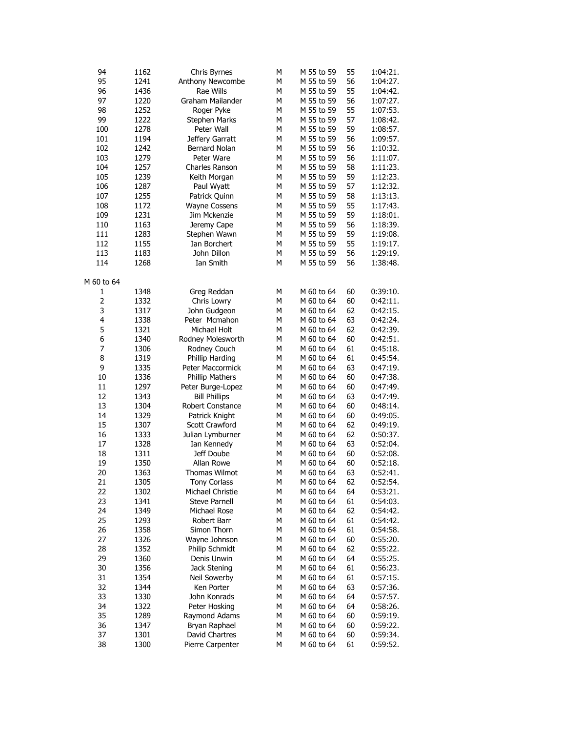| 94           | 1162 | Chris Byrnes           | М | M 55 to 59 | 55 | 1:04:21. |
|--------------|------|------------------------|---|------------|----|----------|
| 95           | 1241 | Anthony Newcombe       | М | M 55 to 59 | 56 | 1:04:27. |
| 96           | 1436 | Rae Wills              | М | M 55 to 59 | 55 | 1:04:42. |
| 97           | 1220 | Graham Mailander       | М | M 55 to 59 | 56 | 1:07:27. |
| 98           | 1252 | Roger Pyke             | М | M 55 to 59 | 55 | 1:07:53. |
| 99           | 1222 | <b>Stephen Marks</b>   | М | M 55 to 59 | 57 | 1:08:42. |
| 100          | 1278 | Peter Wall             | М | M 55 to 59 | 59 | 1:08:57. |
| 101          | 1194 | Jeffery Garratt        | М | M 55 to 59 | 56 | 1:09:57. |
| 102          | 1242 | Bernard Nolan          | М | M 55 to 59 | 56 | 1:10:32. |
| 103          | 1279 | Peter Ware             | М | M 55 to 59 | 56 | 1:11:07. |
| 104          | 1257 | Charles Ranson         | М | M 55 to 59 | 58 | 1:11:23. |
| 105          | 1239 | Keith Morgan           | М | M 55 to 59 | 59 | 1:12:23. |
| 106          | 1287 | Paul Wyatt             | М | M 55 to 59 | 57 | 1:12:32. |
| 107          | 1255 | Patrick Quinn          | М | M 55 to 59 | 58 | 1:13:13. |
| 108          | 1172 | <b>Wayne Cossens</b>   | М | M 55 to 59 | 55 | 1:17:43. |
| 109          | 1231 | Jim Mckenzie           | М | M 55 to 59 | 59 | 1:18:01. |
| 110          | 1163 | Jeremy Cape            | М | M 55 to 59 | 56 | 1:18:39. |
| 111          | 1283 | Stephen Wawn           | М | M 55 to 59 | 59 | 1:19:08. |
| 112          | 1155 | Ian Borchert           | М | M 55 to 59 | 55 | 1:19:17. |
| 113          | 1183 | John Dillon            | М | M 55 to 59 | 56 | 1:29:19. |
| 114          | 1268 | Ian Smith              | М | M 55 to 59 | 56 | 1:38:48. |
|              |      |                        |   |            |    |          |
| M 60 to 64   |      |                        |   |            |    |          |
| $\mathbf{1}$ | 1348 | Greg Reddan            | М | M 60 to 64 | 60 | 0:39:10. |
| $\mathbf 2$  | 1332 | Chris Lowry            | М | M 60 to 64 | 60 | 0:42:11. |
| 3            | 1317 | John Gudgeon           | М | M 60 to 64 | 62 | 0:42:15. |
| 4            | 1338 | Peter Mcmahon          | М | M 60 to 64 | 63 | 0:42:24. |
| 5            | 1321 | Michael Holt           | М | M 60 to 64 | 62 | 0:42:39. |
| 6            | 1340 | Rodney Molesworth      | М | M 60 to 64 | 60 | 0:42:51. |
| 7            | 1306 | Rodney Couch           | М | M 60 to 64 | 61 | 0:45:18. |
| 8            | 1319 |                        | М | M 60 to 64 |    | 0:45:54. |
| 9            |      | Phillip Harding        | М |            | 61 |          |
|              | 1335 | Peter Maccormick       |   | M 60 to 64 | 63 | 0:47:19. |
| 10           | 1336 | <b>Phillip Mathers</b> | М | M 60 to 64 | 60 | 0:47:38. |
| 11           | 1297 | Peter Burge-Lopez      | М | M 60 to 64 | 60 | 0:47:49. |
| 12           | 1343 | <b>Bill Phillips</b>   | М | M 60 to 64 | 63 | 0:47:49. |
| 13           | 1304 | Robert Constance       | М | M 60 to 64 | 60 | 0:48:14. |
| 14           | 1329 | Patrick Knight         | М | M 60 to 64 | 60 | 0:49:05. |
| 15           | 1307 | Scott Crawford         | М | M 60 to 64 | 62 | 0:49:19. |
| 16           | 1333 | Julian Lymburner       | М | M 60 to 64 | 62 | 0:50:37. |
| 17           | 1328 | Ian Kennedy            | М | M 60 to 64 | 63 | 0:52:04. |
| 18           | 1311 | Jeff Doube             | М | M 60 to 64 | 60 | 0:52:08. |
| 19           | 1350 | Allan Rowe             | М | M 60 to 64 | 60 | 0:52:18. |
| 20           | 1363 | Thomas Wilmot          | М | M 60 to 64 | 63 | 0:52:41. |
| 21           | 1305 | <b>Tony Corlass</b>    | М | M 60 to 64 | 62 | 0:52:54. |
| 22           | 1302 | Michael Christie       | м | M 60 to 64 | 64 | 0:53:21. |
| 23           | 1341 | <b>Steve Parnell</b>   | М | M 60 to 64 | 61 | 0:54:03. |
| 24           | 1349 | Michael Rose           | М | M 60 to 64 | 62 | 0:54:42. |
| 25           | 1293 | Robert Barr            | М | M 60 to 64 | 61 | 0:54:42. |
| 26           | 1358 | Simon Thorn            | М | M 60 to 64 | 61 | 0:54:58. |
| 27           | 1326 | Wayne Johnson          | М | M 60 to 64 | 60 | 0:55:20. |
| 28           | 1352 | Philip Schmidt         | М | M 60 to 64 | 62 | 0:55:22. |
| 29           | 1360 | Denis Unwin            | М | M 60 to 64 | 64 | 0:55:25. |
| 30           | 1356 | Jack Stening           | М | M 60 to 64 | 61 | 0:56:23. |
| 31           | 1354 | Neil Sowerby           | М | M 60 to 64 | 61 | 0:57:15. |
| 32           | 1344 | Ken Porter             | М | M 60 to 64 | 63 | 0:57:36. |
| 33           | 1330 | John Konrads           | М | M 60 to 64 | 64 | 0:57:57. |
| 34           | 1322 | Peter Hosking          | М | M 60 to 64 | 64 | 0:58:26. |
| 35           | 1289 | Raymond Adams          | М | M 60 to 64 | 60 | 0:59:19. |
| 36           | 1347 | Bryan Raphael          | М | M 60 to 64 | 60 | 0:59:22. |
| 37           | 1301 | David Chartres         | М | M 60 to 64 | 60 | 0:59:34. |
| 38           | 1300 | Pierre Carpenter       | М | M 60 to 64 | 61 | 0:59:52. |
|              |      |                        |   |            |    |          |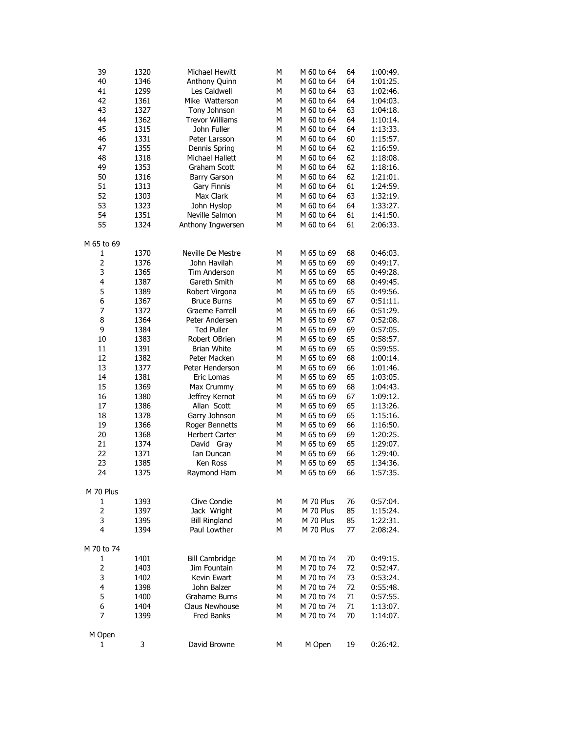| 39                      | 1320 | Michael Hewitt                       | М      | M 60 to 64 | 64 | 1:00:49. |
|-------------------------|------|--------------------------------------|--------|------------|----|----------|
| 40                      | 1346 | Anthony Quinn                        | М      | M 60 to 64 | 64 | 1:01:25. |
| 41                      | 1299 | Les Caldwell                         | M      | M 60 to 64 | 63 | 1:02:46. |
| 42                      | 1361 | Mike Watterson                       | M      | M 60 to 64 | 64 | 1:04:03. |
| 43                      | 1327 | Tony Johnson                         | M      | M 60 to 64 | 63 | 1:04:18. |
| 44                      | 1362 | <b>Trevor Williams</b>               | M      | M 60 to 64 | 64 | 1:10:14. |
| 45                      | 1315 | John Fuller                          | M      | M 60 to 64 | 64 | 1:13:33. |
| 46                      | 1331 | Peter Larsson                        | M      | M 60 to 64 | 60 | 1:15:57. |
| 47                      | 1355 | Dennis Spring                        | M      | M 60 to 64 | 62 | 1:16:59. |
| 48                      | 1318 | Michael Hallett                      | M      | M 60 to 64 | 62 | 1:18:08. |
| 49                      | 1353 | <b>Graham Scott</b>                  | M      | M 60 to 64 | 62 | 1:18:16. |
| 50                      | 1316 | <b>Barry Garson</b>                  | М      | M 60 to 64 | 62 | 1:21:01. |
| 51                      | 1313 | Gary Finnis                          | M      | M 60 to 64 | 61 | 1:24:59. |
| 52                      | 1303 | Max Clark                            | M      | M 60 to 64 | 63 | 1:32:19. |
| 53                      | 1323 | John Hyslop                          | M      | M 60 to 64 | 64 | 1:33:27. |
| 54                      | 1351 | Neville Salmon                       | M      | M 60 to 64 | 61 | 1:41:50. |
| 55                      | 1324 | Anthony Ingwersen                    | М      | M 60 to 64 | 61 | 2:06:33. |
|                         |      |                                      |        |            |    |          |
| M 65 to 69              |      |                                      |        |            |    |          |
| $\mathbf{1}$            | 1370 | Neville De Mestre                    | M      | M 65 to 69 | 68 | 0:46:03. |
| $\overline{\mathbf{c}}$ | 1376 | John Havilah                         | M      | M 65 to 69 | 69 | 0:49:17. |
| 3                       | 1365 | <b>Tim Anderson</b>                  | M      | M 65 to 69 | 65 | 0:49:28. |
| 4                       | 1387 | Gareth Smith                         | M      | M 65 to 69 | 68 | 0:49:45. |
| 5                       | 1389 | Robert Virgona                       | M      | M 65 to 69 | 65 | 0:49:56. |
| 6                       | 1367 | <b>Bruce Burns</b>                   | M      | M 65 to 69 | 67 | 0:51:11. |
| 7                       | 1372 | Graeme Farrell                       | M      | M 65 to 69 | 66 | 0:51:29. |
| 8                       | 1364 | Peter Andersen                       | М      | M 65 to 69 | 67 | 0:52:08. |
| 9                       | 1384 | <b>Ted Puller</b>                    | M      | M 65 to 69 | 69 | 0:57:05. |
| 10                      | 1383 | Robert OBrien                        | M      | M 65 to 69 | 65 | 0:58:57. |
| 11                      | 1391 | <b>Brian White</b>                   | M      | M 65 to 69 | 65 | 0:59:55. |
| 12                      | 1382 | Peter Macken                         | M      | M 65 to 69 | 68 | 1:00:14. |
| 13                      |      | Peter Henderson                      | M      | M 65 to 69 | 66 | 1:01:46. |
|                         | 1377 |                                      |        |            |    |          |
| 14                      | 1381 | Eric Lomas                           | M      | M 65 to 69 | 65 | 1:03:05. |
| 15                      | 1369 | Max Crummy                           | M      | M 65 to 69 | 68 | 1:04:43. |
| 16                      | 1380 | Jeffrey Kernot                       | M      | M 65 to 69 | 67 | 1:09:12. |
| 17                      | 1386 | Allan Scott                          | M      | M 65 to 69 | 65 | 1:13:26. |
| 18                      | 1378 | Garry Johnson                        | M      | M 65 to 69 | 65 | 1:15:16. |
| 19                      | 1366 | Roger Bennetts                       | M      | M 65 to 69 | 66 | 1:16:50. |
| 20                      | 1368 | Herbert Carter                       | M      | M 65 to 69 | 69 | 1:20:25. |
| 21                      | 1374 | David Gray                           | M      | M 65 to 69 | 65 | 1:29:07. |
| 22                      | 1371 | Ian Duncan                           | M      | M 65 to 69 | 66 | 1:29:40. |
| 23                      | 1385 | Ken Ross                             | М      | M 65 to 69 | 65 | 1:34:36. |
| 24                      | 1375 | Raymond Ham                          | м      | M 65 to 69 | 66 | 1:57:35. |
| M 70 Plus               |      |                                      |        |            |    |          |
| $\mathbf{1}$            | 1393 | Clive Condie                         | М      | M 70 Plus  | 76 | 0:57:04. |
| 2                       | 1397 | Jack Wright                          | м      | M 70 Plus  | 85 | 1:15:24. |
| 3                       | 1395 |                                      |        | M 70 Plus  | 85 | 1:22:31. |
| 4                       | 1394 | <b>Bill Ringland</b><br>Paul Lowther | М<br>м | M 70 Plus  | 77 | 2:08:24. |
|                         |      |                                      |        |            |    |          |
| M 70 to 74              |      |                                      |        |            |    |          |
| 1                       | 1401 | <b>Bill Cambridge</b>                | М      | M 70 to 74 | 70 | 0:49:15. |
| 2                       | 1403 | Jim Fountain                         | М      | M 70 to 74 | 72 | 0:52:47. |
| 3                       | 1402 | Kevin Ewart                          | M      | M 70 to 74 | 73 | 0:53:24. |
| 4                       | 1398 | John Balzer                          | м      | M 70 to 74 | 72 | 0:55:48. |
| 5                       | 1400 | Grahame Burns                        | М      | M 70 to 74 | 71 | 0:57:55. |
| 6                       | 1404 | Claus Newhouse                       | м      | M 70 to 74 | 71 | 1:13:07. |
| 7                       | 1399 | <b>Fred Banks</b>                    | м      | M 70 to 74 | 70 | 1:14:07. |
|                         |      |                                      |        |            |    |          |
| M Open                  |      |                                      |        |            |    |          |
| 1                       | 3    | David Browne                         | М      | M Open     | 19 | 0:26:42. |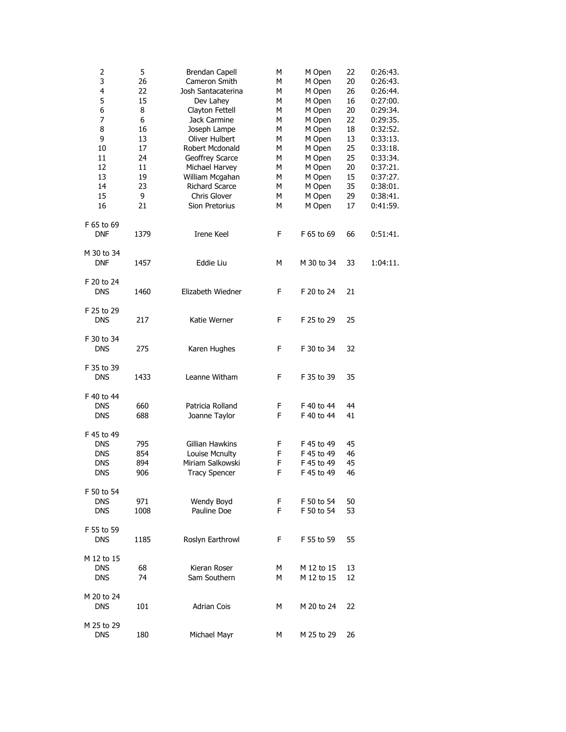| 2                        | 5    | Brendan Capell         | М  | M Open     | 22 | 0:26:43. |
|--------------------------|------|------------------------|----|------------|----|----------|
| 3                        | 26   | Cameron Smith          | М  | M Open     | 20 | 0:26:43. |
| 4                        | 22   | Josh Santacaterina     | М  | M Open     | 26 | 0:26:44. |
| 5                        | 15   | Dev Lahey              | М  | M Open     | 16 | 0:27:00. |
| 6                        | 8    | Clayton Fettell        | м  | M Open     | 20 | 0:29:34. |
| 7                        | 6    | Jack Carmine           | М  | M Open     | 22 | 0:29:35. |
| 8                        | 16   | Joseph Lampe           | М  | M Open     | 18 | 0:32:52. |
| 9                        | 13   | <b>Oliver Hulbert</b>  | М  | M Open     | 13 | 0:33:13. |
| 10                       | 17   | Robert Mcdonald        | М  | M Open     | 25 | 0:33:18. |
| 11                       | 24   | Geoffrey Scarce        | М  | M Open     | 25 | 0:33:34. |
| 12                       | 11   | Michael Harvey         | м  | M Open     | 20 | 0:37:21. |
| 13                       | 19   | William Mcgahan        | м  | M Open     | 15 | 0:37:27. |
| 14                       | 23   | <b>Richard Scarce</b>  | М  | M Open     | 35 | 0:38:01. |
| 15                       | 9    | Chris Glover           | М  | M Open     | 29 | 0:38:41. |
| 16                       | 21   | Sion Pretorius         | М  | M Open     | 17 | 0:41:59. |
| F 65 to 69               |      |                        |    |            |    |          |
| <b>DNF</b>               | 1379 | <b>Irene Keel</b>      | F  | F 65 to 69 | 66 | 0:51:41. |
| M 30 to 34               |      |                        |    |            |    |          |
| <b>DNF</b>               | 1457 | Eddie Liu              | M  | M 30 to 34 | 33 | 1:04:11. |
| F 20 to 24               |      |                        |    |            |    |          |
| <b>DNS</b>               | 1460 | Elizabeth Wiedner      | F  | F 20 to 24 | 21 |          |
| F 25 to 29               |      |                        |    |            |    |          |
| <b>DNS</b>               | 217  | Katie Werner           | F. | F 25 to 29 | 25 |          |
|                          |      |                        |    |            |    |          |
| F 30 to 34<br><b>DNS</b> | 275  | Karen Hughes           | F  | F 30 to 34 | 32 |          |
|                          |      |                        |    |            |    |          |
| F 35 to 39               |      |                        |    |            |    |          |
| <b>DNS</b>               | 1433 | Leanne Witham          | F. | F 35 to 39 | 35 |          |
| F 40 to 44               |      |                        |    |            |    |          |
| <b>DNS</b>               | 660  | Patricia Rolland       | F. | F 40 to 44 | 44 |          |
| <b>DNS</b>               | 688  | Joanne Taylor          | F  | F 40 to 44 | 41 |          |
| F 45 to 49               |      |                        |    |            |    |          |
| <b>DNS</b>               | 795  | <b>Gillian Hawkins</b> | F. | F 45 to 49 | 45 |          |
| <b>DNS</b>               | 854  | Louise Mcnulty         | F  | F 45 to 49 | 46 |          |
| <b>DNS</b>               | 894  | Miriam Salkowski       | F  | F 45 to 49 | 45 |          |
| <b>DNS</b>               | 906  | <b>Tracy Spencer</b>   | F  | F 45 to 49 | 46 |          |
|                          |      |                        |    |            |    |          |
| F 50 to 54               |      |                        |    |            |    |          |
| <b>DNS</b>               | 971  | Wendy Boyd             | F  | F 50 to 54 | 50 |          |
| <b>DNS</b>               | 1008 | Pauline Doe            | F  | F 50 to 54 | 53 |          |
| F 55 to 59               |      |                        |    |            |    |          |
| <b>DNS</b>               | 1185 | Roslyn Earthrowl       | F  | F 55 to 59 | 55 |          |
| M 12 to 15               |      |                        |    |            |    |          |
| <b>DNS</b>               | 68   | Kieran Roser           | м  | M 12 to 15 | 13 |          |
| <b>DNS</b>               | 74   | Sam Southern           | М  | M 12 to 15 | 12 |          |
| M 20 to 24               |      |                        |    |            |    |          |
| <b>DNS</b>               | 101  | <b>Adrian Cois</b>     | М  | M 20 to 24 | 22 |          |
|                          |      |                        |    |            |    |          |
| M 25 to 29               |      |                        |    |            |    |          |
| <b>DNS</b>               | 180  | Michael Mayr           | м  | M 25 to 29 | 26 |          |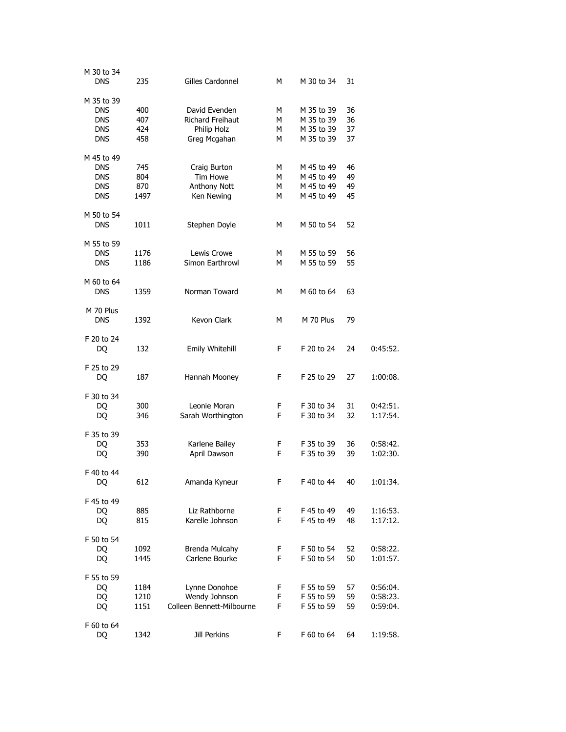| M 30 to 34<br><b>DNS</b>                                           | 235                       | Gilles Cardonnel                                                        | м                | M 30 to 34                                           | 31                   |                                  |
|--------------------------------------------------------------------|---------------------------|-------------------------------------------------------------------------|------------------|------------------------------------------------------|----------------------|----------------------------------|
| M 35 to 39<br><b>DNS</b><br><b>DNS</b><br><b>DNS</b><br><b>DNS</b> | 400<br>407<br>424<br>458  | David Evenden<br><b>Richard Freihaut</b><br>Philip Holz<br>Greg Mcgahan | М<br>м<br>М<br>М | M 35 to 39<br>M 35 to 39<br>M 35 to 39<br>M 35 to 39 | 36<br>36<br>37<br>37 |                                  |
| M 45 to 49<br><b>DNS</b><br><b>DNS</b><br><b>DNS</b><br><b>DNS</b> | 745<br>804<br>870<br>1497 | Craig Burton<br>Tim Howe<br>Anthony Nott<br>Ken Newing                  | м<br>м<br>м<br>М | M 45 to 49<br>M 45 to 49<br>M 45 to 49<br>M 45 to 49 | 46<br>49<br>49<br>45 |                                  |
| M 50 to 54<br><b>DNS</b>                                           | 1011                      | Stephen Doyle                                                           | М                | M 50 to 54                                           | 52                   |                                  |
| M 55 to 59<br><b>DNS</b><br><b>DNS</b>                             | 1176<br>1186              | Lewis Crowe<br>Simon Earthrowl                                          | м<br>м           | M 55 to 59<br>M 55 to 59                             | 56<br>55             |                                  |
| M 60 to 64<br><b>DNS</b>                                           | 1359                      | Norman Toward                                                           | М                | M 60 to 64                                           | 63                   |                                  |
| M 70 Plus<br><b>DNS</b>                                            | 1392                      | Kevon Clark                                                             | М                | M 70 Plus                                            | 79                   |                                  |
| F 20 to 24<br>DQ                                                   | 132                       | Emily Whitehill                                                         | F                | F 20 to 24                                           | 24                   | 0:45:52.                         |
| F 25 to 29<br>DQ                                                   | 187                       | Hannah Mooney                                                           | F                | F 25 to 29                                           | 27                   | 1:00:08.                         |
| F 30 to 34<br>DQ<br>DQ                                             | 300<br>346                | Leonie Moran<br>Sarah Worthington                                       | F.<br>F          | F 30 to 34<br>F 30 to 34                             | 31<br>32             | 0:42:51.<br>1:17:54.             |
| F 35 to 39<br>DQ<br>DQ                                             | 353<br>390                | Karlene Bailey<br>April Dawson                                          | F<br>F           | F 35 to 39<br>F 35 to 39                             | 36<br>39             | 0:58:42.<br>1:02:30.             |
| F 40 to 44<br>DQ                                                   | 612                       | Amanda Kyneur                                                           | F.               | F 40 to 44                                           | 40                   | 1:01:34                          |
| F 45 to 49<br>DQ<br>DQ                                             | 885<br>815                | Liz Rathborne<br>Karelle Johnson                                        | F.<br>F.         | F 45 to 49<br>F 45 to 49                             | 49<br>48             | 1:16:53.<br>1:17:12.             |
| F 50 to 54<br>DQ<br>DQ                                             | 1092<br>1445              | Brenda Mulcahy<br>Carlene Bourke                                        | F.<br>F.         | F 50 to 54<br>F 50 to 54                             | 52<br>50             | 0:58:22.<br>1:01:57.             |
| F 55 to 59<br>DQ<br>DQ<br>DQ                                       | 1184<br>1210<br>1151      | Lynne Donohoe<br>Wendy Johnson<br>Colleen Bennett-Milbourne             | F.<br>F.<br>F    | F 55 to 59<br>F 55 to 59<br>F 55 to 59               | 57<br>59<br>59       | 0:56:04.<br>0:58:23.<br>0:59:04. |
| F 60 to 64<br>DQ                                                   | 1342                      | Jill Perkins                                                            | F                | F 60 to 64                                           | 64                   | 1:19:58.                         |